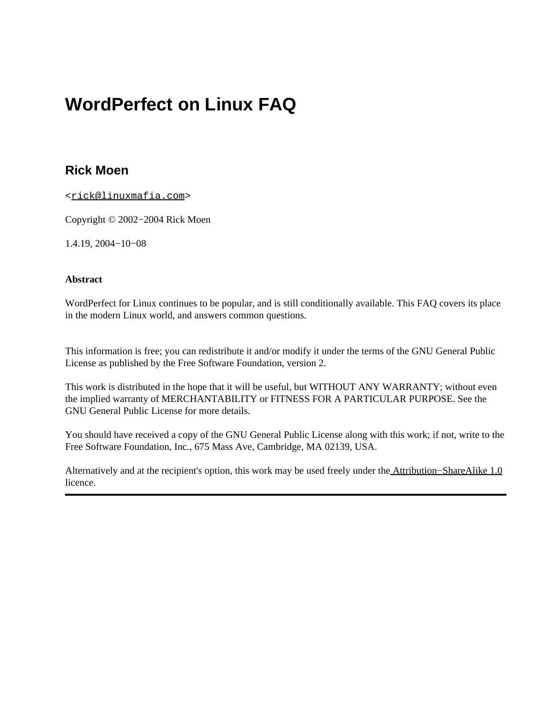### **Rick Moen**

<[rick@linuxmafia.com>](mailto:rick@linuxmafia.com)

Copyright © 2002−2004 Rick Moen

1.4.19, 2004−10−08

#### **Abstract**

WordPerfect for Linux continues to be popular, and is still conditionally available. This FAQ covers its place in the modern Linux world, and answers common questions.

This information is free; you can redistribute it and/or modify it under the terms of the GNU General Public License as published by the Free Software Foundation, version 2.

This work is distributed in the hope that it will be useful, but WITHOUT ANY WARRANTY; without even the implied warranty of MERCHANTABILITY or FITNESS FOR A PARTICULAR PURPOSE. See the GNU General Public License for more details.

You should have received a copy of the GNU General Public License along with this work; if not, write to the Free Software Foundation, Inc., 675 Mass Ave, Cambridge, MA 02139, USA.

Alternatively and at the recipient's option, this work may be used freely under the [Attribution−ShareAlike 1.0](http://creativecommons.org/licenses/by-sa/1.0/) licence.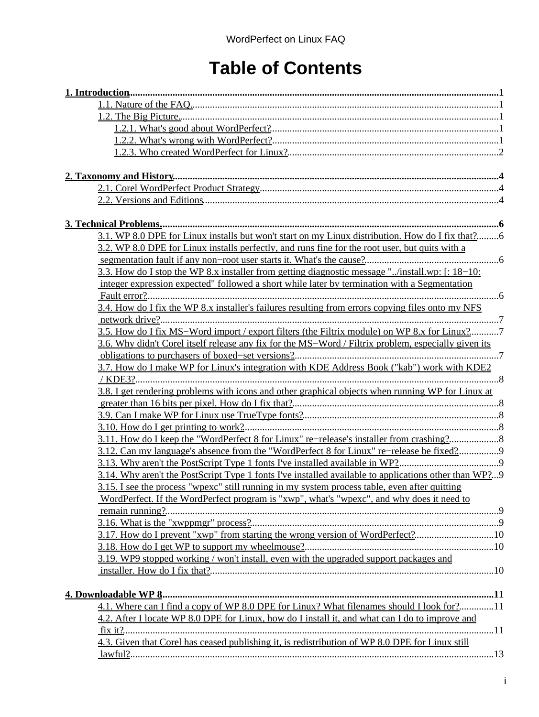## **Table of Contents**

| 3.1. WP 8.0 DPE for Linux installs but won't start on my Linux distribution. How do I fix that?6      |  |
|-------------------------------------------------------------------------------------------------------|--|
| 3.2. WP 8.0 DPE for Linux installs perfectly, and runs fine for the root user, but quits with a       |  |
|                                                                                                       |  |
| 3.3. How do I stop the WP 8.x installer from getting diagnostic message "/install.wp: [: 18–10:       |  |
| integer expression expected" followed a short while later by termination with a Segmentation          |  |
|                                                                                                       |  |
| 3.4. How do I fix the WP 8.x installer's failures resulting from errors copying files onto my NFS     |  |
|                                                                                                       |  |
| 3.5. How do I fix MS-Word import / export filters (the Filtrix module) on WP 8.x for Linux?7          |  |
| 3.6. Why didn't Corel itself release any fix for the MS-Word / Filtrix problem, especially given its  |  |
|                                                                                                       |  |
| 3.7. How do I make WP for Linux's integration with KDE Address Book ("kab") work with KDE2            |  |
|                                                                                                       |  |
| 3.8. I get rendering problems with icons and other graphical objects when running WP for Linux at     |  |
|                                                                                                       |  |
|                                                                                                       |  |
| 3.11. How do I keep the "WordPerfect 8 for Linux" re-release's installer from crashing?               |  |
| 3.12. Can my language's absence from the "WordPerfect 8 for Linux" re-release be fixed?               |  |
|                                                                                                       |  |
| 3.14. Why aren't the PostScript Type 1 fonts I've installed available to applications other than WP?9 |  |
| 3.15. I see the process "wpexc" still running in my system process table, even after quitting         |  |
| WordPerfect. If the WordPerfect program is "xwp", what's "wpexc", and why does it need to             |  |
| remain running?                                                                                       |  |
|                                                                                                       |  |
| 3.17. How do I prevent "xwp" from starting the wrong version of WordPerfect?10                        |  |
|                                                                                                       |  |
| 3.19. WP9 stopped working / won't install, even with the upgraded support packages and                |  |
|                                                                                                       |  |
|                                                                                                       |  |
|                                                                                                       |  |
| 4.1. Where can I find a copy of WP 8.0 DPE for Linux? What filenames should I look for?11             |  |
| 4.2. After I locate WP 8.0 DPE for Linux, how do I install it, and what can I do to improve and       |  |
| fix it?                                                                                               |  |
| 4.3. Given that Corel has ceased publishing it, is redistribution of WP 8.0 DPE for Linux still       |  |
|                                                                                                       |  |
|                                                                                                       |  |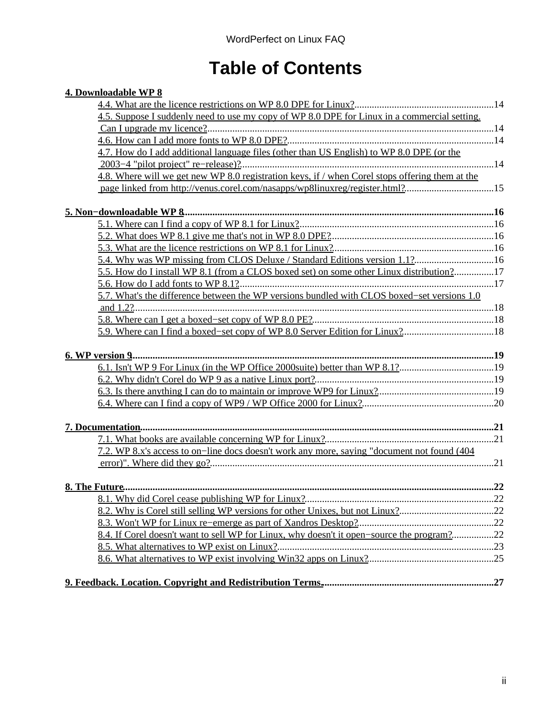## **Table of Contents**

| 4. Downloadable WP 8                                                                            |  |
|-------------------------------------------------------------------------------------------------|--|
|                                                                                                 |  |
| 4.5. Suppose I suddenly need to use my copy of WP 8.0 DPE for Linux in a commercial setting.    |  |
|                                                                                                 |  |
|                                                                                                 |  |
| 4.7. How do I add additional language files (other than US English) to WP 8.0 DPE (or the       |  |
|                                                                                                 |  |
| 4.8. Where will we get new WP 8.0 registration keys, if / when Corel stops offering them at the |  |
| page linked from http://venus.corel.com/nasapps/wp8linuxreg/register.html?15                    |  |
|                                                                                                 |  |
|                                                                                                 |  |
|                                                                                                 |  |
|                                                                                                 |  |
| 5.4. Why was WP missing from CLOS Deluxe / Standard Editions version 1.1?16                     |  |
| 5.5. How do I install WP 8.1 (from a CLOS boxed set) on some other Linux distribution?17        |  |
|                                                                                                 |  |
| 5.7. What's the difference between the WP versions bundled with CLOS boxed–set versions 1.0     |  |
|                                                                                                 |  |
|                                                                                                 |  |
|                                                                                                 |  |
|                                                                                                 |  |
|                                                                                                 |  |
|                                                                                                 |  |
|                                                                                                 |  |
|                                                                                                 |  |
|                                                                                                 |  |
|                                                                                                 |  |
|                                                                                                 |  |
| 7.2. WP 8.x's access to on-line docs doesn't work any more, saying "document not found (404)    |  |
|                                                                                                 |  |
|                                                                                                 |  |
|                                                                                                 |  |
| 8.2. Why is Corel still selling WP versions for other Unixes, but not Linux?22                  |  |
|                                                                                                 |  |
| 8.4. If Corel doesn't want to sell WP for Linux, why doesn't it open-source the program?22      |  |
|                                                                                                 |  |
|                                                                                                 |  |
|                                                                                                 |  |
|                                                                                                 |  |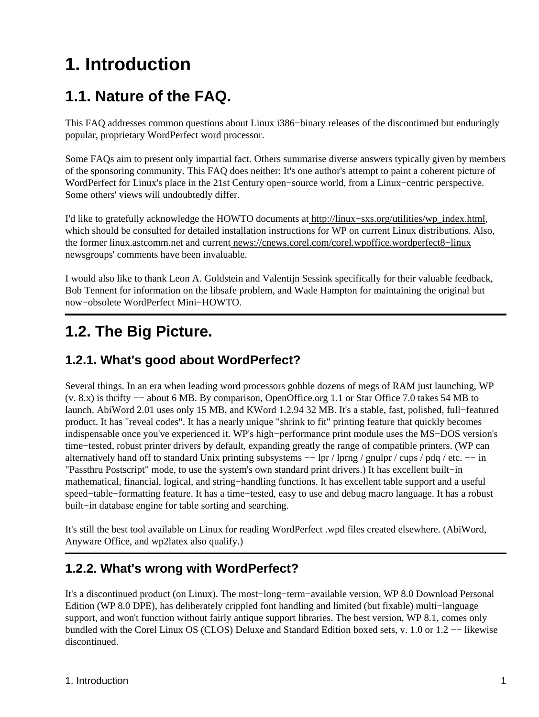# <span id="page-3-0"></span>**1. Introduction**

### <span id="page-3-1"></span>**1.1. Nature of the FAQ.**

This FAQ addresses common questions about Linux i386−binary releases of the discontinued but enduringly popular, proprietary WordPerfect word processor.

Some FAQs aim to present only impartial fact. Others summarise diverse answers typically given by members of the sponsoring community. This FAQ does neither: It's one author's attempt to paint a coherent picture of WordPerfect for Linux's place in the 21st Century open−source world, from a Linux−centric perspective. Some others' views will undoubtedly differ.

I'd like to gratefully acknowledge the HOWTO documents at [http://linux−sxs.org/utilities/wp\\_index.html,](http://linux-sxs.org/utilities/wp_index.html) which should be consulted for detailed installation instructions for WP on current Linux distributions. Also, the former linux.astcomm.net and current news://cnews.corel.com/corel.wpoffice.wordperfect8−linux newsgroups' comments have been invaluable.

I would also like to thank Leon A. Goldstein and Valentijn Sessink specifically for their valuable feedback, Bob Tennent for information on the libsafe problem, and Wade Hampton for maintaining the original but now−obsolete WordPerfect Mini−HOWTO.

## <span id="page-3-2"></span>**1.2. The Big Picture.**

### <span id="page-3-3"></span>**1.2.1. What's good about WordPerfect?**

Several things. In an era when leading word processors gobble dozens of megs of RAM just launching, WP (v. 8.x) is thrifty −− about 6 MB. By comparison, OpenOffice.org 1.1 or Star Office 7.0 takes 54 MB to launch. AbiWord 2.01 uses only 15 MB, and KWord 1.2.94 32 MB. It's a stable, fast, polished, full−featured product. It has "reveal codes". It has a nearly unique "shrink to fit" printing feature that quickly becomes indispensable once you've experienced it. WP's high−performance print module uses the MS−DOS version's time−tested, robust printer drivers by default, expanding greatly the range of compatible printers. (WP can alternatively hand off to standard Unix printing subsystems -− lpr / lprng / gnulpr / cups / pdq / etc. -− in "Passthru Postscript" mode, to use the system's own standard print drivers.) It has excellent built−in mathematical, financial, logical, and string−handling functions. It has excellent table support and a useful speed−table−formatting feature. It has a time−tested, easy to use and debug macro language. It has a robust built−in database engine for table sorting and searching.

It's still the best tool available on Linux for reading WordPerfect .wpd files created elsewhere. (AbiWord, Anyware Office, and wp2latex also qualify.)

### <span id="page-3-4"></span>**1.2.2. What's wrong with WordPerfect?**

It's a discontinued product (on Linux). The most−long−term−available version, WP 8.0 Download Personal Edition (WP 8.0 DPE), has deliberately crippled font handling and limited (but fixable) multi−language support, and won't function without fairly antique support libraries. The best version, WP 8.1, comes only bundled with the Corel Linux OS (CLOS) Deluxe and Standard Edition boxed sets, v. 1.0 or 1.2 −− likewise discontinued.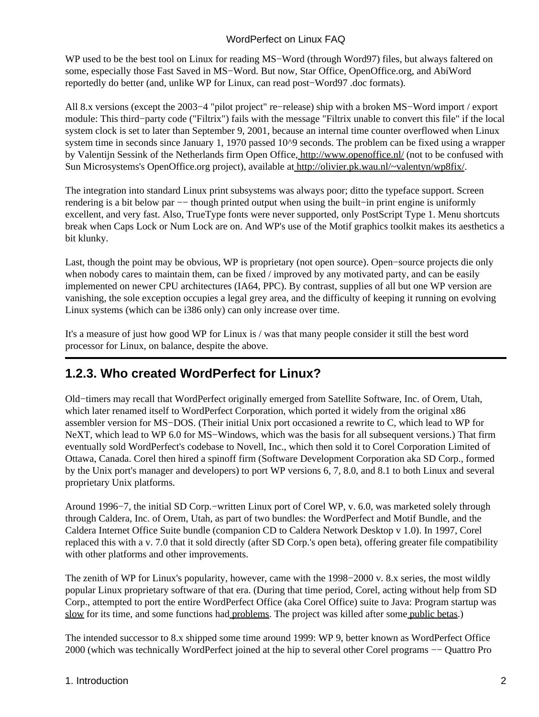WP used to be the best tool on Linux for reading MS−Word (through Word97) files, but always faltered on some, especially those Fast Saved in MS−Word. But now, Star Office, OpenOffice.org, and AbiWord reportedly do better (and, unlike WP for Linux, can read post−Word97 .doc formats).

All 8.x versions (except the 2003−4 "pilot project" re−release) ship with a broken MS−Word import / export module: This third−party code ("Filtrix") fails with the message "Filtrix unable to convert this file" if the local system clock is set to later than September 9, 2001, because an internal time counter overflowed when Linux system time in seconds since January 1, 1970 passed 10^9 seconds. The problem can be fixed using a wrapper by Valentijn Sessink of the Netherlands firm Open Office,<http://www.openoffice.nl/>(not to be confused with Sun Microsystems's OpenOffice.org project), available at [http://olivier.pk.wau.nl/~valentyn/wp8fix/.](http://olivier.pk.wau.nl/~valentyn/wp8fix/)

The integration into standard Linux print subsystems was always poor; ditto the typeface support. Screen rendering is a bit below par −− though printed output when using the built–in print engine is uniformly excellent, and very fast. Also, TrueType fonts were never supported, only PostScript Type 1. Menu shortcuts break when Caps Lock or Num Lock are on. And WP's use of the Motif graphics toolkit makes its aesthetics a bit klunky.

Last, though the point may be obvious, WP is proprietary (not open source). Open−source projects die only when nobody cares to maintain them, can be fixed / improved by any motivated party, and can be easily implemented on newer CPU architectures (IA64, PPC). By contrast, supplies of all but one WP version are vanishing, the sole exception occupies a legal grey area, and the difficulty of keeping it running on evolving Linux systems (which can be i386 only) can only increase over time.

It's a measure of just how good WP for Linux is / was that many people consider it still the best word processor for Linux, on balance, despite the above.

### <span id="page-4-0"></span>**1.2.3. Who created WordPerfect for Linux?**

Old−timers may recall that WordPerfect originally emerged from Satellite Software, Inc. of Orem, Utah, which later renamed itself to WordPerfect Corporation, which ported it widely from the original x86 assembler version for MS−DOS. (Their initial Unix port occasioned a rewrite to C, which lead to WP for NeXT, which lead to WP 6.0 for MS–Windows, which was the basis for all subsequent versions.) That firm eventually sold WordPerfect's codebase to Novell, Inc., which then sold it to Corel Corporation Limited of Ottawa, Canada. Corel then hired a spinoff firm (Software Development Corporation aka SD Corp., formed by the Unix port's manager and developers) to port WP versions 6, 7, 8.0, and 8.1 to both Linux and several proprietary Unix platforms.

Around 1996−7, the initial SD Corp.−written Linux port of Corel WP, v. 6.0, was marketed solely through through Caldera, Inc. of Orem, Utah, as part of two bundles: the WordPerfect and Motif Bundle, and the Caldera Internet Office Suite bundle (companion CD to Caldera Network Desktop v 1.0). In 1997, Corel replaced this with a v. 7.0 that it sold directly (after SD Corp.'s open beta), offering greater file compatibility with other platforms and other improvements.

The zenith of WP for Linux's popularity, however, came with the 1998−2000 v. 8.x series, the most wildly popular Linux proprietary software of that era. (During that time period, Corel, acting without help from SD Corp., attempted to port the entire WordPerfect Office (aka Corel Office) suite to Java: Program startup was [slow](http://developer.novell.com/research/appnotes/1997/july/netnotes/03.htm) for its time, and some functions had [problems](http://web.pip.com.au/office/readme.html). The project was killed after some [public betas](http://public.planetmirror.com/pub/hobbes/java/apps/suite/).)

The intended successor to 8.x shipped some time around 1999: WP 9, better known as WordPerfect Office 2000 (which was technically WordPerfect joined at the hip to several other Corel programs −− Quattro Pro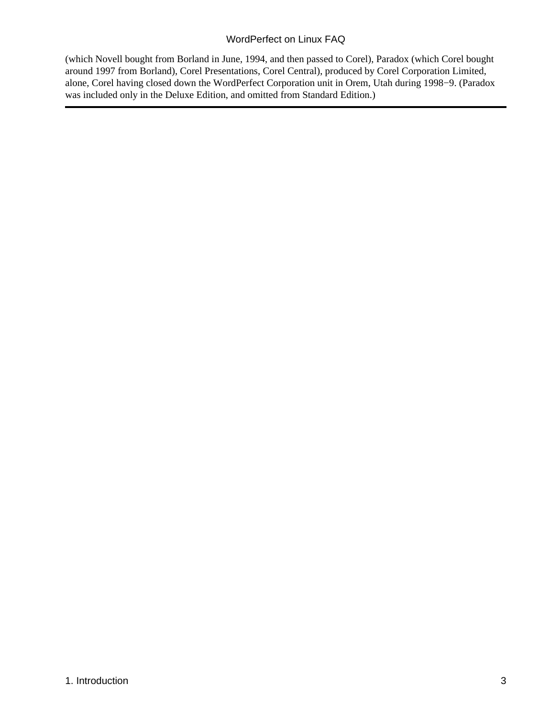(which Novell bought from Borland in June, 1994, and then passed to Corel), Paradox (which Corel bought around 1997 from Borland), Corel Presentations, Corel Central), produced by Corel Corporation Limited, alone, Corel having closed down the WordPerfect Corporation unit in Orem, Utah during 1998−9. (Paradox was included only in the Deluxe Edition, and omitted from Standard Edition.)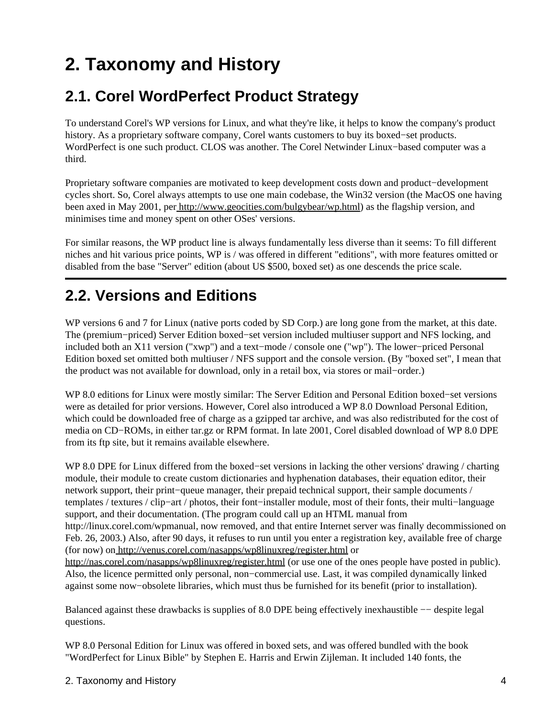# <span id="page-6-0"></span>**2. Taxonomy and History**

### <span id="page-6-1"></span>**2.1. Corel WordPerfect Product Strategy**

To understand Corel's WP versions for Linux, and what they're like, it helps to know the company's product history. As a proprietary software company, Corel wants customers to buy its boxed−set products. WordPerfect is one such product. CLOS was another. The Corel Netwinder Linux−based computer was a third.

Proprietary software companies are motivated to keep development costs down and product−development cycles short. So, Corel always attempts to use one main codebase, the Win32 version (the MacOS one having been axed in May 2001, per [http://www.geocities.com/bulgybear/wp.html\)](http://www.geocities.com/bulgybear/wp.html) as the flagship version, and minimises time and money spent on other OSes' versions.

For similar reasons, the WP product line is always fundamentally less diverse than it seems: To fill different niches and hit various price points, WP is / was offered in different "editions", with more features omitted or disabled from the base "Server" edition (about US \$500, boxed set) as one descends the price scale.

## <span id="page-6-2"></span>**2.2. Versions and Editions**

WP versions 6 and 7 for Linux (native ports coded by SD Corp.) are long gone from the market, at this date. The (premium−priced) Server Edition boxed−set version included multiuser support and NFS locking, and included both an X11 version ("xwp") and a text−mode / console one ("wp"). The lower−priced Personal Edition boxed set omitted both multiuser / NFS support and the console version. (By "boxed set", I mean that the product was not available for download, only in a retail box, via stores or mail−order.)

WP 8.0 editions for Linux were mostly similar: The Server Edition and Personal Edition boxed−set versions were as detailed for prior versions. However, Corel also introduced a WP 8.0 Download Personal Edition, which could be downloaded free of charge as a gzipped tar archive, and was also redistributed for the cost of media on CD−ROMs, in either tar.gz or RPM format. In late 2001, Corel disabled download of WP 8.0 DPE from its ftp site, but it remains available elsewhere.

WP 8.0 DPE for Linux differed from the boxed−set versions in lacking the other versions' drawing / charting module, their module to create custom dictionaries and hyphenation databases, their equation editor, their network support, their print−queue manager, their prepaid technical support, their sample documents / templates / textures / clip−art / photos, their font−installer module, most of their fonts, their multi−language support, and their documentation. (The program could call up an HTML manual from http://linux.corel.com/wpmanual, now removed, and that entire Internet server was finally decommissioned on Feb. 26, 2003.) Also, after 90 days, it refuses to run until you enter a registration key, available free of charge (for now) on<http://venus.corel.com/nasapps/wp8linuxreg/register.html> or <http://nas.corel.com/nasapps/wp8linuxreg/register.html>(or use one of the ones people have posted in public). Also, the licence permitted only personal, non−commercial use. Last, it was compiled dynamically linked against some now−obsolete libraries, which must thus be furnished for its benefit (prior to installation).

Balanced against these drawbacks is supplies of 8.0 DPE being effectively inexhaustible −− despite legal questions.

WP 8.0 Personal Edition for Linux was offered in boxed sets, and was offered bundled with the book "WordPerfect for Linux Bible" by Stephen E. Harris and Erwin Zijleman. It included 140 fonts, the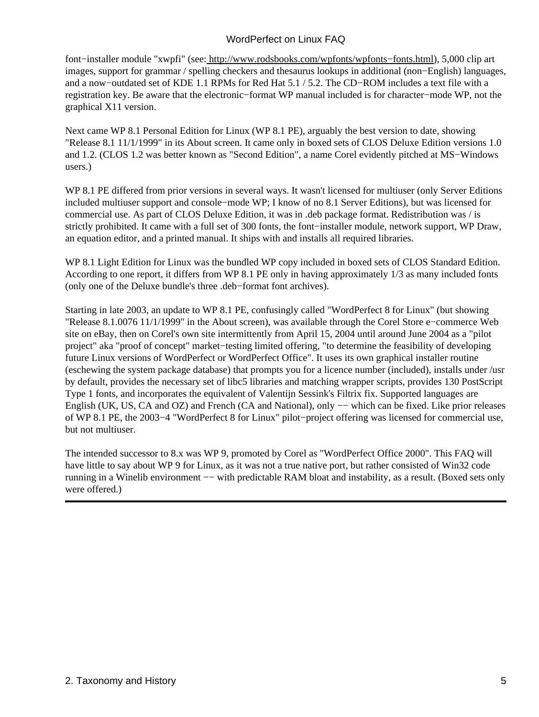font−installer module "xwpfi" (see[: http://www.rodsbooks.com/wpfonts/wpfonts−fonts.html\)](http://www.rodsbooks.com/wpfonts/wpfonts-fonts.html), 5,000 clip art images, support for grammar / spelling checkers and thesaurus lookups in additional (non−English) languages, and a now−outdated set of KDE 1.1 RPMs for Red Hat 5.1 / 5.2. The CD−ROM includes a text file with a registration key. Be aware that the electronic−format WP manual included is for character−mode WP, not the graphical X11 version.

Next came WP 8.1 Personal Edition for Linux (WP 8.1 PE), arguably the best version to date, showing "Release 8.1 11/1/1999" in its About screen. It came only in boxed sets of CLOS Deluxe Edition versions 1.0 and 1.2. (CLOS 1.2 was better known as "Second Edition", a name Corel evidently pitched at MS−Windows users.)

WP 8.1 PE differed from prior versions in several ways. It wasn't licensed for multiuser (only Server Editions included multiuser support and console−mode WP; I know of no 8.1 Server Editions), but was licensed for commercial use. As part of CLOS Deluxe Edition, it was in .deb package format. Redistribution was / is strictly prohibited. It came with a full set of 300 fonts, the font−installer module, network support, WP Draw, an equation editor, and a printed manual. It ships with and installs all required libraries.

WP 8.1 Light Edition for Linux was the bundled WP copy included in boxed sets of CLOS Standard Edition. According to one report, it differs from WP 8.1 PE only in having approximately 1/3 as many included fonts (only one of the Deluxe bundle's three .deb−format font archives).

Starting in late 2003, an update to WP 8.1 PE, confusingly called "WordPerfect 8 for Linux" (but showing "Release 8.1.0076 11/1/1999" in the About screen), was available through the Corel Store e−commerce Web site on eBay, then on Corel's own site intermittently from April 15, 2004 until around June 2004 as a "pilot project" aka "proof of concept" market−testing limited offering, "to determine the feasibility of developing future Linux versions of WordPerfect or WordPerfect Office". It uses its own graphical installer routine (eschewing the system package database) that prompts you for a licence number (included), installs under /usr by default, provides the necessary set of libc5 libraries and matching wrapper scripts, provides 130 PostScript Type 1 fonts, and incorporates the equivalent of Valentijn Sessink's Filtrix fix. Supported languages are English (UK, US, CA and OZ) and French (CA and National), only −− which can be fixed. Like prior releases of WP 8.1 PE, the 2003−4 "WordPerfect 8 for Linux" pilot−project offering was licensed for commercial use, but not multiuser.

The intended successor to 8.x was WP 9, promoted by Corel as "WordPerfect Office 2000". This FAQ will have little to say about WP 9 for Linux, as it was not a true native port, but rather consisted of Win32 code running in a Winelib environment -- with predictable RAM bloat and instability, as a result. (Boxed sets only were offered.)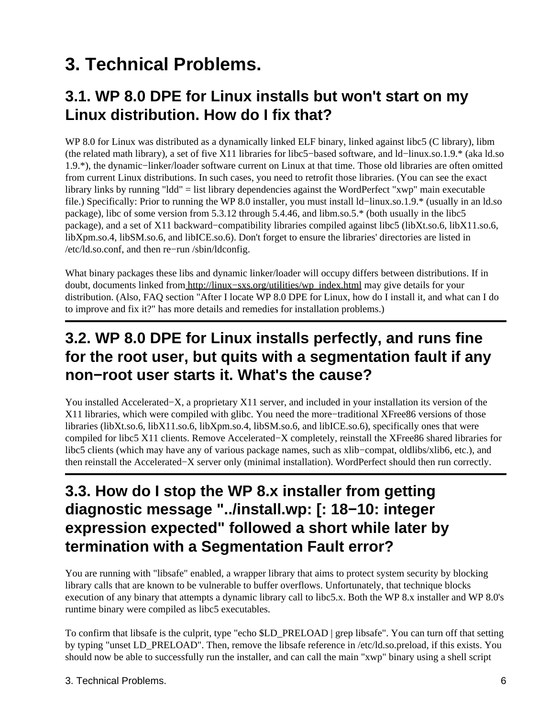# <span id="page-8-0"></span>**3. Technical Problems.**

### <span id="page-8-1"></span>**3.1. WP 8.0 DPE for Linux installs but won't start on my Linux distribution. How do I fix that?**

WP 8.0 for Linux was distributed as a dynamically linked ELF binary, linked against libc5 (C library), libm (the related math library), a set of five X11 libraries for libc5−based software, and ld−linux.so.1.9.\* (aka ld.so 1.9.\*), the dynamic−linker/loader software current on Linux at that time. Those old libraries are often omitted from current Linux distributions. In such cases, you need to retrofit those libraries. (You can see the exact library links by running "ldd" = list library dependencies against the WordPerfect "xwp" main executable file.) Specifically: Prior to running the WP 8.0 installer, you must install ld−linux.so.1.9.\* (usually in an ld.so package), libc of some version from 5.3.12 through 5.4.46, and libm.so.5.\* (both usually in the libc5 package), and a set of X11 backward−compatibility libraries compiled against libc5 (libXt.so.6, libX11.so.6, libXpm.so.4, libSM.so.6, and libICE.so.6). Don't forget to ensure the libraries' directories are listed in /etc/ld.so.conf, and then re−run /sbin/ldconfig.

What binary packages these libs and dynamic linker/loader will occupy differs between distributions. If in doubt, documents linked from [http://linux−sxs.org/utilities/wp\\_index.html](http://linux-sxs.org/utilities/wp_index.html) may give details for your distribution. (Also, FAQ section "After I locate WP 8.0 DPE for Linux, how do I install it, and what can I do to improve and fix it?" has more details and remedies for installation problems.)

### <span id="page-8-2"></span>**3.2. WP 8.0 DPE for Linux installs perfectly, and runs fine for the root user, but quits with a segmentation fault if any non−root user starts it. What's the cause?**

You installed Accelerated−X, a proprietary X11 server, and included in your installation its version of the X11 libraries, which were compiled with glibc. You need the more−traditional XFree86 versions of those libraries (libXt.so.6, libX11.so.6, libXpm.so.4, libSM.so.6, and libICE.so.6), specifically ones that were compiled for libc5 X11 clients. Remove Accelerated−X completely, reinstall the XFree86 shared libraries for libc5 clients (which may have any of various package names, such as xlib−compat, oldlibs/xlib6, etc.), and then reinstall the Accelerated−X server only (minimal installation). WordPerfect should then run correctly.

### <span id="page-8-3"></span>**3.3. How do I stop the WP 8.x installer from getting diagnostic message "../install.wp: [: 18−10: integer expression expected" followed a short while later by termination with a Segmentation Fault error?**

You are running with "libsafe" enabled, a wrapper library that aims to protect system security by blocking library calls that are known to be vulnerable to buffer overflows. Unfortunately, that technique blocks execution of any binary that attempts a dynamic library call to libc5.x. Both the WP 8.x installer and WP 8.0's runtime binary were compiled as libc5 executables.

To confirm that libsafe is the culprit, type "echo \$LD\_PRELOAD | grep libsafe". You can turn off that setting by typing "unset LD\_PRELOAD". Then, remove the libsafe reference in /etc/ld.so.preload, if this exists. You should now be able to successfully run the installer, and can call the main "xwp" binary using a shell script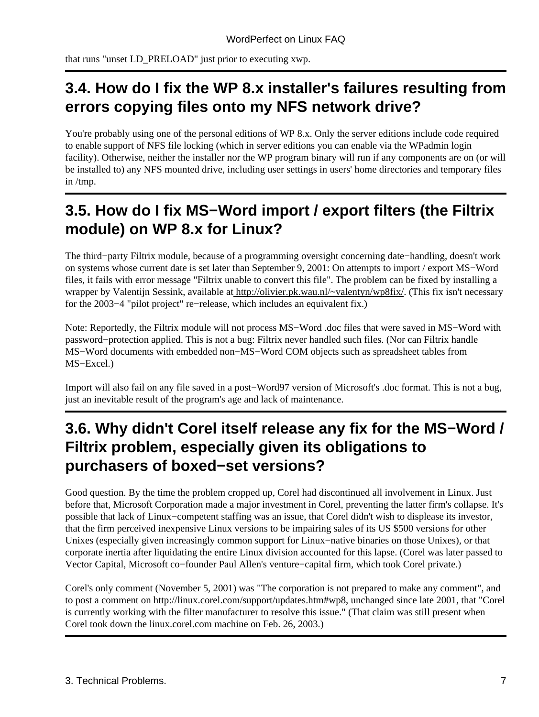that runs "unset LD\_PRELOAD" just prior to executing xwp.

### <span id="page-9-0"></span>**3.4. How do I fix the WP 8.x installer's failures resulting from errors copying files onto my NFS network drive?**

You're probably using one of the personal editions of WP 8.x. Only the server editions include code required to enable support of NFS file locking (which in server editions you can enable via the WPadmin login facility). Otherwise, neither the installer nor the WP program binary will run if any components are on (or will be installed to) any NFS mounted drive, including user settings in users' home directories and temporary files in /tmp.

### <span id="page-9-1"></span>**3.5. How do I fix MS−Word import / export filters (the Filtrix module) on WP 8.x for Linux?**

The third−party Filtrix module, because of a programming oversight concerning date−handling, doesn't work on systems whose current date is set later than September 9, 2001: On attempts to import / export MS−Word files, it fails with error message "Filtrix unable to convert this file". The problem can be fixed by installing a wrapper by Valentijn Sessink, available at [http://olivier.pk.wau.nl/~valentyn/wp8fix/.](http://olivier.pk.wau.nl/~valentyn/wp8fix/) (This fix isn't necessary for the 2003−4 "pilot project" re−release, which includes an equivalent fix.)

Note: Reportedly, the Filtrix module will not process MS−Word .doc files that were saved in MS−Word with password−protection applied. This is not a bug: Filtrix never handled such files. (Nor can Filtrix handle MS−Word documents with embedded non−MS−Word COM objects such as spreadsheet tables from MS−Excel.)

Import will also fail on any file saved in a post−Word97 version of Microsoft's .doc format. This is not a bug, just an inevitable result of the program's age and lack of maintenance.

### <span id="page-9-2"></span>**3.6. Why didn't Corel itself release any fix for the MS−Word / Filtrix problem, especially given its obligations to purchasers of boxed−set versions?**

Good question. By the time the problem cropped up, Corel had discontinued all involvement in Linux. Just before that, Microsoft Corporation made a major investment in Corel, preventing the latter firm's collapse. It's possible that lack of Linux−competent staffing was an issue, that Corel didn't wish to displease its investor, that the firm perceived inexpensive Linux versions to be impairing sales of its US \$500 versions for other Unixes (especially given increasingly common support for Linux−native binaries on those Unixes), or that corporate inertia after liquidating the entire Linux division accounted for this lapse. (Corel was later passed to Vector Capital, Microsoft co−founder Paul Allen's venture−capital firm, which took Corel private.)

Corel's only comment (November 5, 2001) was "The corporation is not prepared to make any comment", and to post a comment on http://linux.corel.com/support/updates.htm#wp8, unchanged since late 2001, that "Corel is currently working with the filter manufacturer to resolve this issue." (That claim was still present when Corel took down the linux.corel.com machine on Feb. 26, 2003.)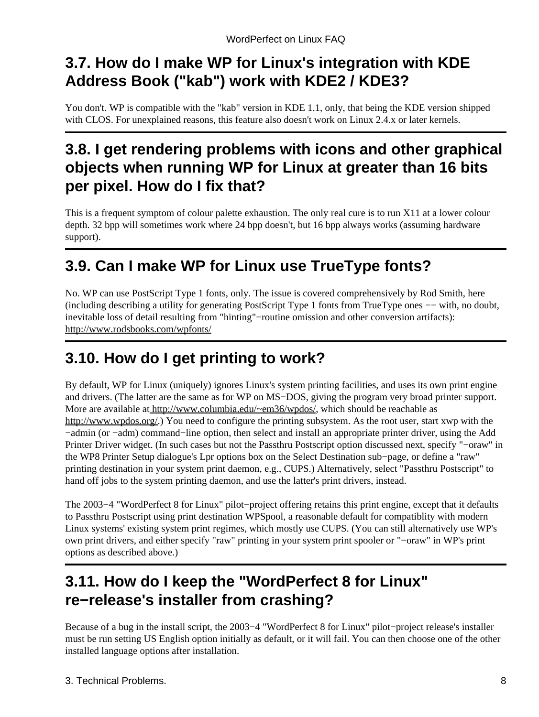### <span id="page-10-0"></span>**3.7. How do I make WP for Linux's integration with KDE Address Book ("kab") work with KDE2 / KDE3?**

You don't. WP is compatible with the "kab" version in KDE 1.1, only, that being the KDE version shipped with CLOS. For unexplained reasons, this feature also doesn't work on Linux 2.4.x or later kernels.

### <span id="page-10-1"></span>**3.8. I get rendering problems with icons and other graphical objects when running WP for Linux at greater than 16 bits per pixel. How do I fix that?**

This is a frequent symptom of colour palette exhaustion. The only real cure is to run X11 at a lower colour depth. 32 bpp will sometimes work where 24 bpp doesn't, but 16 bpp always works (assuming hardware support).

### <span id="page-10-2"></span>**3.9. Can I make WP for Linux use TrueType fonts?**

No. WP can use PostScript Type 1 fonts, only. The issue is covered comprehensively by Rod Smith, here (including describing a utility for generating PostScript Type 1 fonts from TrueType ones −− with, no doubt, inevitable loss of detail resulting from "hinting"−routine omission and other conversion artifacts): <http://www.rodsbooks.com/wpfonts/>

## <span id="page-10-3"></span>**3.10. How do I get printing to work?**

By default, WP for Linux (uniquely) ignores Linux's system printing facilities, and uses its own print engine and drivers. (The latter are the same as for WP on MS−DOS, giving the program very broad printer support. More are available a[t http://www.columbia.edu/~em36/wpdos/,](http://www.columbia.edu/~em36/wpdos/) which should be reachable as <http://www.wpdos.org/>.) You need to configure the printing subsystem. As the root user, start xwp with the −admin (or −adm) command−line option, then select and install an appropriate printer driver, using the Add Printer Driver widget. (In such cases but not the Passthru Postscript option discussed next, specify "−oraw" in the WP8 Printer Setup dialogue's Lpr options box on the Select Destination sub−page, or define a "raw" printing destination in your system print daemon, e.g., CUPS.) Alternatively, select "Passthru Postscript" to hand off jobs to the system printing daemon, and use the latter's print drivers, instead.

The 2003−4 "WordPerfect 8 for Linux" pilot−project offering retains this print engine, except that it defaults to Passthru Postscript using print destination WPSpool, a reasonable default for compatiblity with modern Linux systems' existing system print regimes, which mostly use CUPS. (You can still alternatively use WP's own print drivers, and either specify "raw" printing in your system print spooler or "−oraw" in WP's print options as described above.)

### <span id="page-10-4"></span>**3.11. How do I keep the "WordPerfect 8 for Linux" re−release's installer from crashing?**

Because of a bug in the install script, the 2003−4 "WordPerfect 8 for Linux" pilot−project release's installer must be run setting US English option initially as default, or it will fail. You can then choose one of the other installed language options after installation.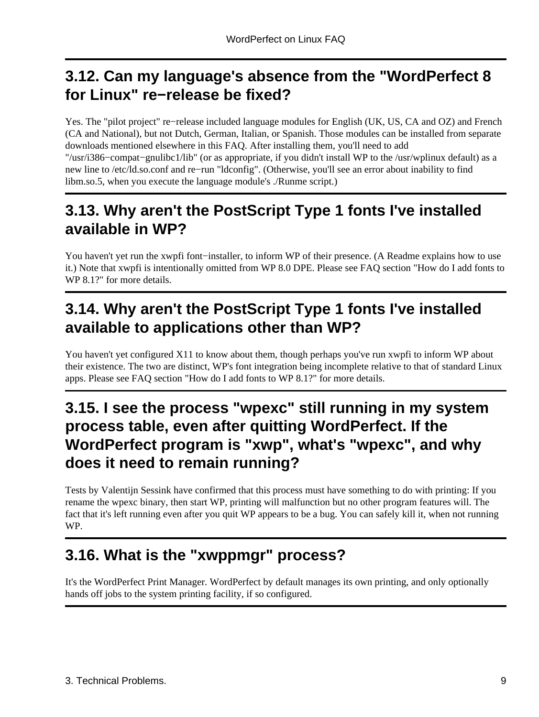### <span id="page-11-0"></span>**3.12. Can my language's absence from the "WordPerfect 8 for Linux" re−release be fixed?**

Yes. The "pilot project" re−release included language modules for English (UK, US, CA and OZ) and French (CA and National), but not Dutch, German, Italian, or Spanish. Those modules can be installed from separate downloads mentioned elsewhere in this FAQ. After installing them, you'll need to add "/usr/i386−compat−gnulibc1/lib" (or as appropriate, if you didn't install WP to the /usr/wplinux default) as a new line to /etc/ld.so.conf and re−run "ldconfig". (Otherwise, you'll see an error about inability to find libm.so.5, when you execute the language module's ./Runme script.)

### <span id="page-11-1"></span>**3.13. Why aren't the PostScript Type 1 fonts I've installed available in WP?**

You haven't yet run the xwpfi font−installer, to inform WP of their presence. (A Readme explains how to use it.) Note that xwpfi is intentionally omitted from WP 8.0 DPE. Please see FAQ section "How do I add fonts to WP 8.1?" for more details.

### <span id="page-11-2"></span>**3.14. Why aren't the PostScript Type 1 fonts I've installed available to applications other than WP?**

You haven't yet configured X11 to know about them, though perhaps you've run xwpfi to inform WP about their existence. The two are distinct, WP's font integration being incomplete relative to that of standard Linux apps. Please see FAQ section "How do I add fonts to WP 8.1?" for more details.

### <span id="page-11-3"></span>**3.15. I see the process "wpexc" still running in my system process table, even after quitting WordPerfect. If the WordPerfect program is "xwp", what's "wpexc", and why does it need to remain running?**

Tests by Valentijn Sessink have confirmed that this process must have something to do with printing: If you rename the wpexc binary, then start WP, printing will malfunction but no other program features will. The fact that it's left running even after you quit WP appears to be a bug. You can safely kill it, when not running WP.

## <span id="page-11-4"></span>**3.16. What is the "xwppmgr" process?**

It's the WordPerfect Print Manager. WordPerfect by default manages its own printing, and only optionally hands off jobs to the system printing facility, if so configured.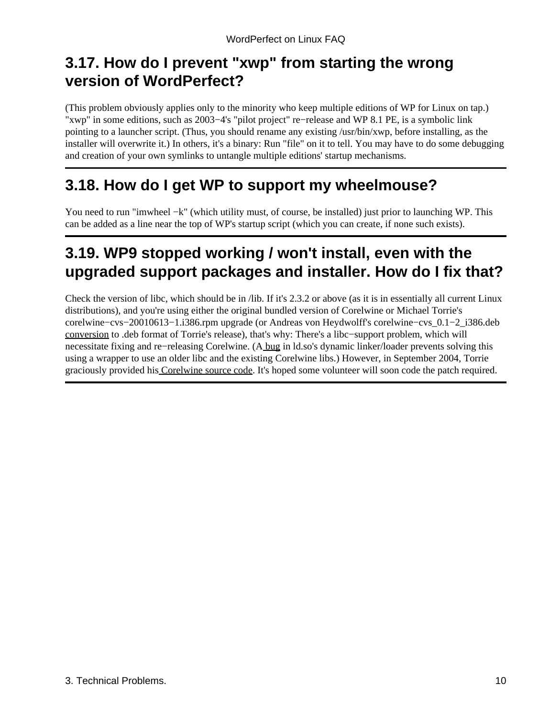### <span id="page-12-0"></span>**3.17. How do I prevent "xwp" from starting the wrong version of WordPerfect?**

(This problem obviously applies only to the minority who keep multiple editions of WP for Linux on tap.) "xwp" in some editions, such as 2003−4's "pilot project" re−release and WP 8.1 PE, is a symbolic link pointing to a launcher script. (Thus, you should rename any existing /usr/bin/xwp, before installing, as the installer will overwrite it.) In others, it's a binary: Run "file" on it to tell. You may have to do some debugging and creation of your own symlinks to untangle multiple editions' startup mechanisms.

### <span id="page-12-1"></span>**3.18. How do I get WP to support my wheelmouse?**

You need to run "imwheel −k" (which utility must, of course, be installed) just prior to launching WP. This can be added as a line near the top of WP's startup script (which you can create, if none such exists).

### <span id="page-12-2"></span>**3.19. WP9 stopped working / won't install, even with the upgraded support packages and installer. How do I fix that?**

Check the version of libc, which should be in /lib. If it's 2.3.2 or above (as it is in essentially all current Linux distributions), and you're using either the original bundled version of Corelwine or Michael Torrie's corelwine−cvs−20010613−1.i386.rpm upgrade (or Andreas von Heydwolff's corelwine−cvs\_0.1−2\_i386.deb [conversion](http://web.archive.org/web/20040225112645/http://members.chello.at/hrdisk/corelwine.html) to .deb format of Torrie's release), that's why: There's a libc−support problem, which will necessitate fixing and re−releasing Corelwine. ([A bug](http://sources.redhat.com/ml/bug-glibc/2003-05/msg00047.html) in ld.so's dynamic linker/loader prevents solving this using a wrapper to use an older libc and the existing Corelwine libs.) However, in September 2004, Torrie graciously provided hi[s Corelwine source code.](http://linuxmafia.com/pub/linux/apps/) It's hoped some volunteer will soon code the patch required.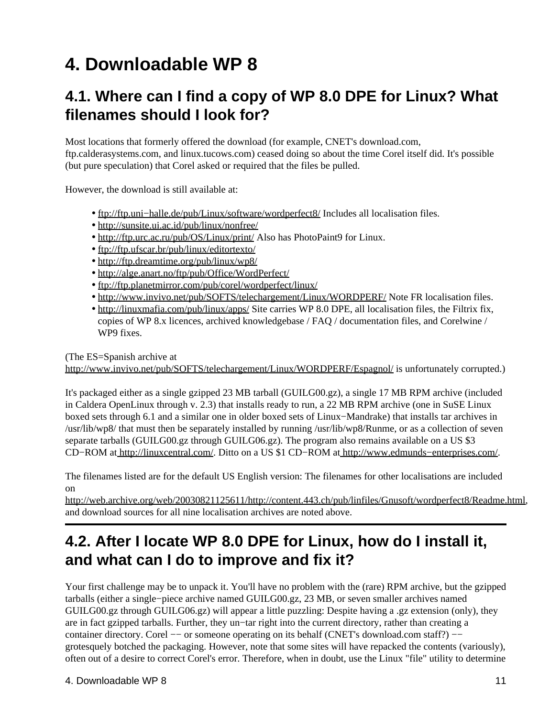# <span id="page-13-0"></span>**4. Downloadable WP 8**

### <span id="page-13-1"></span>**4.1. Where can I find a copy of WP 8.0 DPE for Linux? What filenames should I look for?**

Most locations that formerly offered the download (for example, CNET's download.com, ftp.calderasystems.com, and linux.tucows.com) ceased doing so about the time Corel itself did. It's possible (but pure speculation) that Corel asked or required that the files be pulled.

However, the download is still available at:

- [ftp://ftp.uni−halle.de/pub/Linux/software/wordperfect8/](ftp://ftp.uni-halle.de/pub/Linux/software/wordperfect8/) Includes all localisation files.
- <http://sunsite.ui.ac.id/pub/linux/nonfree/>
- <http://ftp.urc.ac.ru/pub/OS/Linux/print/>Also has PhotoPaint9 for Linux.
- <ftp://ftp.ufscar.br/pub/linux/editortexto/>
- <http://ftp.dreamtime.org/pub/linux/wp8/>
- <http://alge.anart.no/ftp/pub/Office/WordPerfect/>
- <ftp://ftp.planetmirror.com/pub/corel/wordperfect/linux/>
- <http://www.invivo.net/pub/SOFTS/telechargement/Linux/WORDPERF/> Note FR localisation files.
- <http://linuxmafia.com/pub/linux/apps/> Site carries WP 8.0 DPE, all localisation files, the Filtrix fix, copies of WP 8.x licences, archived knowledgebase / FAQ / documentation files, and Corelwine / WP9 fixes.

(The ES=Spanish archive at

<http://www.invivo.net/pub/SOFTS/telechargement/Linux/WORDPERF/Espagnol/> is unfortunately corrupted.)

It's packaged either as a single gzipped 23 MB tarball (GUILG00.gz), a single 17 MB RPM archive (included in Caldera OpenLinux through v. 2.3) that installs ready to run, a 22 MB RPM archive (one in SuSE Linux boxed sets through 6.1 and a similar one in older boxed sets of Linux−Mandrake) that installs tar archives in /usr/lib/wp8/ that must then be separately installed by running /usr/lib/wp8/Runme, or as a collection of seven separate tarballs (GUILG00.gz through GUILG06.gz). The program also remains available on a US \$3 CD−ROM a[t http://linuxcentral.com/.](http://linuxcentral.com/) Ditto on a US \$1 CD−ROM at [http://www.edmunds−enterprises.com/.](http://www.edmunds-enterprises.com/)

The filenames listed are for the default US English version: The filenames for other localisations are included on

<http://web.archive.org/web/20030821125611/http://content.443.ch/pub/linfiles/Gnusoft/wordperfect8/Readme.html>, and download sources for all nine localisation archives are noted above.

### <span id="page-13-2"></span>**4.2. After I locate WP 8.0 DPE for Linux, how do I install it, and what can I do to improve and fix it?**

Your first challenge may be to unpack it. You'll have no problem with the (rare) RPM archive, but the gzipped tarballs (either a single−piece archive named GUILG00.gz, 23 MB, or seven smaller archives named GUILG00.gz through GUILG06.gz) will appear a little puzzling: Despite having a .gz extension (only), they are in fact gzipped tarballs. Further, they un−tar right into the current directory, rather than creating a container directory. Corel —− or someone operating on its behalf (CNET's download.com staff?) —– grotesquely botched the packaging. However, note that some sites will have repacked the contents (variously), often out of a desire to correct Corel's error. Therefore, when in doubt, use the Linux "file" utility to determine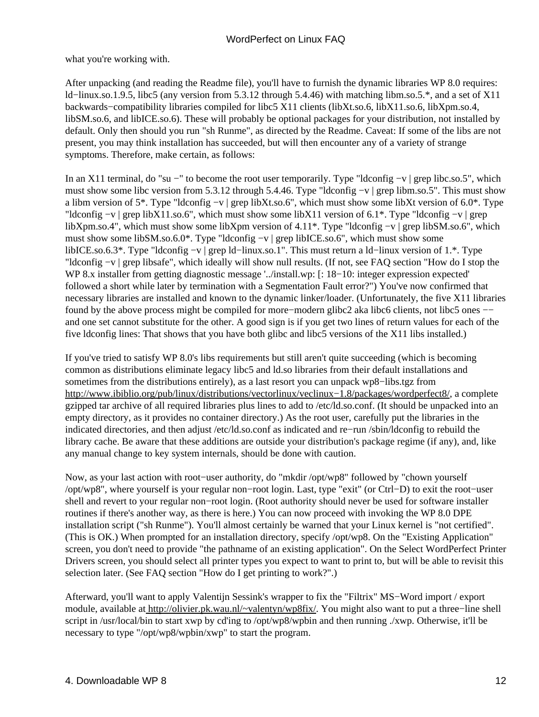what you're working with.

After unpacking (and reading the Readme file), you'll have to furnish the dynamic libraries WP 8.0 requires: ld−linux.so.1.9.5, libc5 (any version from 5.3.12 through 5.4.46) with matching libm.so.5.\*, and a set of X11 backwards−compatibility libraries compiled for libc5 X11 clients (libXt.so.6, libX11.so.6, libXpm.so.4, libSM.so.6, and libICE.so.6). These will probably be optional packages for your distribution, not installed by default. Only then should you run "sh Runme", as directed by the Readme. Caveat: If some of the libs are not present, you may think installation has succeeded, but will then encounter any of a variety of strange symptoms. Therefore, make certain, as follows:

In an X11 terminal, do "su −" to become the root user temporarily. Type "ldconfig −v | grep libc.so.5", which must show some libc version from 5.3.12 through 5.4.46. Type "ldconfig −v | grep libm.so.5". This must show a libm version of 5\*. Type "ldconfig −v | grep libXt.so.6", which must show some libXt version of 6.0\*. Type "ldconfig −v | grep libX11.so.6", which must show some libX11 version of 6.1\*. Type "ldconfig −v | grep libXpm.so.4", which must show some libXpm version of 4.11\*. Type "ldconfig −v | grep libSM.so.6", which must show some libSM.so.6.0\*. Type "ldconfig −v | grep libICE.so.6", which must show some libICE.so.6.3\*. Type "ldconfig −v | grep ld−linux.so.1". This must return a ld−linux version of 1.\*. Type "ldconfig −v | grep libsafe", which ideally will show null results. (If not, see FAQ section "How do I stop the WP 8.x installer from getting diagnostic message '../install.wp: [: 18−10: integer expression expected' followed a short while later by termination with a Segmentation Fault error?") You've now confirmed that necessary libraries are installed and known to the dynamic linker/loader. (Unfortunately, the five X11 libraries found by the above process might be compiled for more−modern glibc2 aka libc6 clients, not libc5 ones −− and one set cannot substitute for the other. A good sign is if you get two lines of return values for each of the five ldconfig lines: That shows that you have both glibc and libc5 versions of the X11 libs installed.)

If you've tried to satisfy WP 8.0's libs requirements but still aren't quite succeeding (which is becoming common as distributions eliminate legacy libc5 and ld.so libraries from their default installations and sometimes from the distributions entirely), as a last resort you can unpack wp8−libs.tgz from [http://www.ibiblio.org/pub/linux/distributions/vectorlinux/veclinux−1.8/packages/wordperfect8/](http://www.ibiblio.org/pub/linux/distributions/vectorlinux/veclinux-1.8/packages/wordperfect8/), a complete gzipped tar archive of all required libraries plus lines to add to /etc/ld.so.conf. (It should be unpacked into an empty directory, as it provides no container directory.) As the root user, carefully put the libraries in the indicated directories, and then adjust /etc/ld.so.conf as indicated and re−run /sbin/ldconfig to rebuild the library cache. Be aware that these additions are outside your distribution's package regime (if any), and, like any manual change to key system internals, should be done with caution.

Now, as your last action with root−user authority, do "mkdir /opt/wp8" followed by "chown yourself /opt/wp8", where yourself is your regular non−root login. Last, type "exit" (or Ctrl−D) to exit the root−user shell and revert to your regular non−root login. (Root authority should never be used for software installer routines if there's another way, as there is here.) You can now proceed with invoking the WP 8.0 DPE installation script ("sh Runme"). You'll almost certainly be warned that your Linux kernel is "not certified". (This is OK.) When prompted for an installation directory, specify /opt/wp8. On the "Existing Application" screen, you don't need to provide "the pathname of an existing application". On the Select WordPerfect Printer Drivers screen, you should select all printer types you expect to want to print to, but will be able to revisit this selection later. (See FAQ section "How do I get printing to work?".)

Afterward, you'll want to apply Valentijn Sessink's wrapper to fix the "Filtrix" MS−Word import / export module, available at [http://olivier.pk.wau.nl/~valentyn/wp8fix/.](http://olivier.pk.wau.nl/~valentyn/wp8fix/) You might also want to put a three−line shell script in /usr/local/bin to start xwp by cd'ing to /opt/wp8/wpbin and then running ./xwp. Otherwise, it'll be necessary to type "/opt/wp8/wpbin/xwp" to start the program.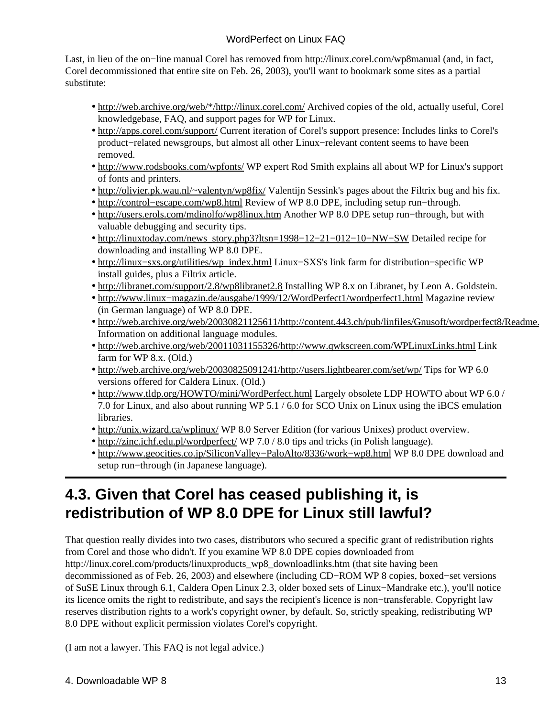Last, in lieu of the on−line manual Corel has removed from http://linux.corel.com/wp8manual (and, in fact, Corel decommissioned that entire site on Feb. 26, 2003), you'll want to bookmark some sites as a partial substitute:

- [http://web.archive.org/web/\\*/http://linux.corel.com/](http://web.archive.org/web/*/http://linux.corel.com/) Archived copies of the old, actually useful, Corel knowledgebase, FAQ, and support pages for WP for Linux.
- <http://apps.corel.com/support/> Current iteration of Corel's support presence: Includes links to Corel's product−related newsgroups, but almost all other Linux−relevant content seems to have been removed.
- <http://www.rodsbooks.com/wpfonts/> WP expert Rod Smith explains all about WP for Linux's support of fonts and printers.
- <http://olivier.pk.wau.nl/~valentyn/wp8fix/> Valentijn Sessink's pages about the Filtrix bug and his fix.
- [http://control−escape.com/wp8.html](http://control-escape.com/wp8.html) Review of WP 8.0 DPE, including setup run−through.
- <http://users.erols.com/mdinolfo/wp8linux.htm>Another WP 8.0 DPE setup run-through, but with valuable debugging and security tips.
- http://linuxtoday.com/news\_story.php3?ltsn=1998-12-21-012-10-NW-SW Detailed recipe for downloading and installing WP 8.0 DPE.
- http://linux–sxs.org/utilities/wp\_index.html Linux–SXS's link farm for distribution–specific WP install guides, plus a Filtrix article.
- <http://libranet.com/support/2.8/wp8libranet2.8>Installing WP 8.x on Libranet, by Leon A. Goldstein.
- [http://www.linux−magazin.de/ausgabe/1999/12/WordPerfect1/wordperfect1.html](http://www.linux-magazin.de/ausgabe/1999/12/WordPerfect1/wordperfect1.html) Magazine review (in German language) of WP 8.0 DPE.
- http://web.archive.org/web/20030821125611/http://content.443.ch/pub/linfiles/Gnusoft/wordperfect8/Readme. Information on additional language modules.
- <http://web.archive.org/web/20011031155326/http://www.qwkscreen.com/WPLinuxLinks.html> Link farm for WP 8.x. (Old.)
- <http://web.archive.org/web/20030825091241/http://users.lightbearer.com/set/wp/>Tips for WP 6.0 versions offered for Caldera Linux. (Old.)
- <http://www.tldp.org/HOWTO/mini/WordPerfect.html>Largely obsolete LDP HOWTO about WP 6.0 / 7.0 for Linux, and also about running WP 5.1 / 6.0 for SCO Unix on Linux using the iBCS emulation libraries.
- <http://unix.wizard.ca/wplinux/> WP 8.0 Server Edition (for various Unixes) product overview.
- <http://zinc.ichf.edu.pl/wordperfect/>WP 7.0 / 8.0 tips and tricks (in Polish language).
- http://www.geocities.co.jp/SiliconValley–PaloAlto/8336/work–wp8.html WP 8.0 DPE download and setup run−through (in Japanese language).

### <span id="page-15-0"></span>**4.3. Given that Corel has ceased publishing it, is redistribution of WP 8.0 DPE for Linux still lawful?**

That question really divides into two cases, distributors who secured a specific grant of redistribution rights from Corel and those who didn't. If you examine WP 8.0 DPE copies downloaded from http://linux.corel.com/products/linuxproducts\_wp8\_downloadlinks.htm (that site having been decommissioned as of Feb. 26, 2003) and elsewhere (including CD−ROM WP 8 copies, boxed−set versions of SuSE Linux through 6.1, Caldera Open Linux 2.3, older boxed sets of Linux−Mandrake etc.), you'll notice its licence omits the right to redistribute, and says the recipient's licence is non−transferable. Copyright law reserves distribution rights to a work's copyright owner, by default. So, strictly speaking, redistributing WP 8.0 DPE without explicit permission violates Corel's copyright.

(I am not a lawyer. This FAQ is not legal advice.)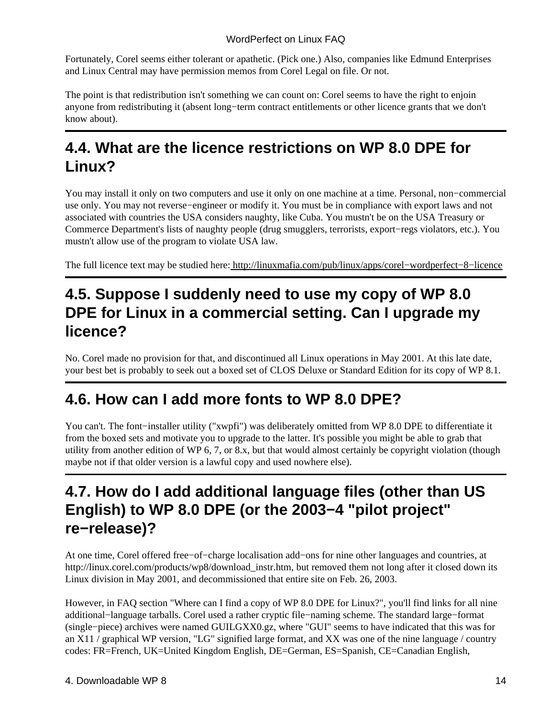Fortunately, Corel seems either tolerant or apathetic. (Pick one.) Also, companies like Edmund Enterprises and Linux Central may have permission memos from Corel Legal on file. Or not.

The point is that redistribution isn't something we can count on: Corel seems to have the right to enjoin anyone from redistributing it (absent long−term contract entitlements or other licence grants that we don't know about).

### <span id="page-16-0"></span>**4.4. What are the licence restrictions on WP 8.0 DPE for Linux?**

You may install it only on two computers and use it only on one machine at a time. Personal, non−commercial use only. You may not reverse−engineer or modify it. You must be in compliance with export laws and not associated with countries the USA considers naughty, like Cuba. You mustn't be on the USA Treasury or Commerce Department's lists of naughty people (drug smugglers, terrorists, export−regs violators, etc.). You mustn't allow use of the program to violate USA law.

The full licence text may be studied here[: http://linuxmafia.com/pub/linux/apps/corel−wordperfect−8−licence](http://linuxmafia.com/pub/linux/apps/corel-wordperfect-8-licence)

### <span id="page-16-1"></span>**4.5. Suppose I suddenly need to use my copy of WP 8.0 DPE for Linux in a commercial setting. Can I upgrade my licence?**

No. Corel made no provision for that, and discontinued all Linux operations in May 2001. At this late date, your best bet is probably to seek out a boxed set of CLOS Deluxe or Standard Edition for its copy of WP 8.1.

### <span id="page-16-2"></span>**4.6. How can I add more fonts to WP 8.0 DPE?**

You can't. The font−installer utility ("xwpfi") was deliberately omitted from WP 8.0 DPE to differentiate it from the boxed sets and motivate you to upgrade to the latter. It's possible you might be able to grab that utility from another edition of WP 6, 7, or 8.x, but that would almost certainly be copyright violation (though maybe not if that older version is a lawful copy and used nowhere else).

### <span id="page-16-3"></span>**4.7. How do I add additional language files (other than US English) to WP 8.0 DPE (or the 2003−4 "pilot project" re−release)?**

At one time, Corel offered free−of−charge localisation add−ons for nine other languages and countries, at http://linux.corel.com/products/wp8/download\_instr.htm, but removed them not long after it closed down its Linux division in May 2001, and decommissioned that entire site on Feb. 26, 2003.

However, in FAQ section "Where can I find a copy of WP 8.0 DPE for Linux?", you'll find links for all nine additional−language tarballs. Corel used a rather cryptic file−naming scheme. The standard large−format (single−piece) archives were named GUILGXX0.gz, where "GUI" seems to have indicated that this was for an X11 / graphical WP version, "LG" signified large format, and XX was one of the nine language / country codes: FR=French, UK=United Kingdom English, DE=German, ES=Spanish, CE=Canadian English,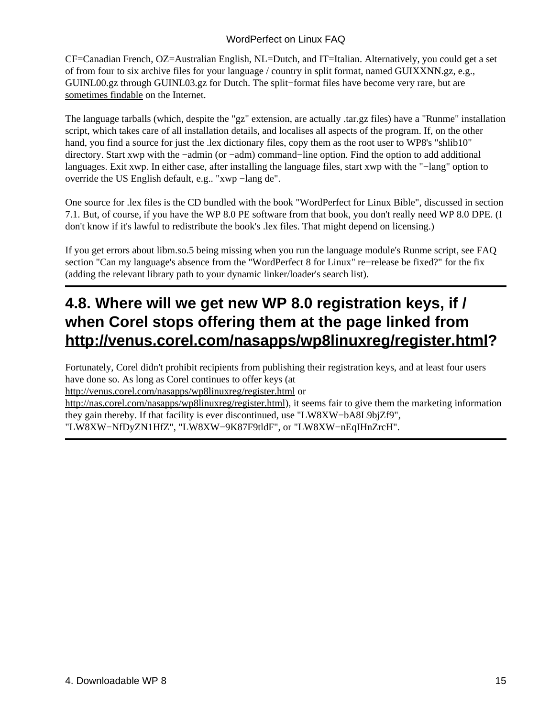CF=Canadian French, OZ=Australian English, NL=Dutch, and IT=Italian. Alternatively, you could get a set of from four to six archive files for your language / country in split format, named GUIXXNN.gz, e.g., GUINL00.gz through GUINL03.gz for Dutch. The split−format files have become very rare, but are [sometimes findable](ftp://ftp.uni-halle.de/pub/Linux/software/wordperfect8/GUI/) on the Internet.

The language tarballs (which, despite the "gz" extension, are actually .tar.gz files) have a "Runme" installation script, which takes care of all installation details, and localises all aspects of the program. If, on the other hand, you find a source for just the .lex dictionary files, copy them as the root user to WP8's "shlib10" directory. Start xwp with the −admin (or −adm) command−line option. Find the option to add additional languages. Exit xwp. In either case, after installing the language files, start xwp with the "−lang" option to override the US English default, e.g.. "xwp −lang de".

One source for .lex files is the CD bundled with the book "WordPerfect for Linux Bible", discussed in section 7.1. But, of course, if you have the WP 8.0 PE software from that book, you don't really need WP 8.0 DPE. (I don't know if it's lawful to redistribute the book's .lex files. That might depend on licensing.)

If you get errors about libm.so.5 being missing when you run the language module's Runme script, see FAQ section "Can my language's absence from the "WordPerfect 8 for Linux" re−release be fixed?" for the fix (adding the relevant library path to your dynamic linker/loader's search list).

### <span id="page-17-0"></span>**4.8. Where will we get new WP 8.0 registration keys, if / when Corel stops offering them at the page linked from [http://venus.corel.com/nasapps/wp8linuxreg/register.html?](http://venus.corel.com/nasapps/wp8linuxreg/register.html)**

Fortunately, Corel didn't prohibit recipients from publishing their registration keys, and at least four users have done so. As long as Corel continues to offer keys (at

<http://venus.corel.com/nasapps/wp8linuxreg/register.html>or

[http://nas.corel.com/nasapps/wp8linuxreg/register.html\)](http://nas.corel.com/nasapps/wp8linuxreg/register.html), it seems fair to give them the marketing information they gain thereby. If that facility is ever discontinued, use "LW8XW−bA8L9bjZf9", "LW8XW−NfDyZN1HfZ", "LW8XW−9K87F9tldF", or "LW8XW−nEqIHnZrcH".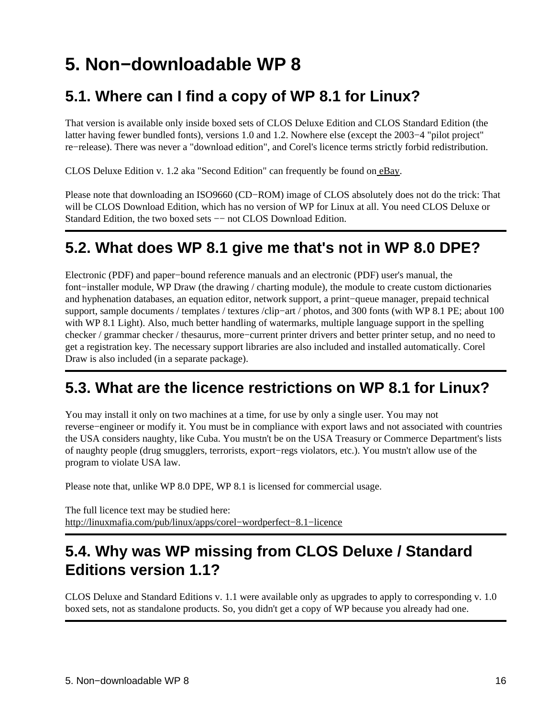# <span id="page-18-0"></span>**5. Non−downloadable WP 8**

### <span id="page-18-1"></span>**5.1. Where can I find a copy of WP 8.1 for Linux?**

That version is available only inside boxed sets of CLOS Deluxe Edition and CLOS Standard Edition (the latter having fewer bundled fonts), versions 1.0 and 1.2. Nowhere else (except the 2003−4 "pilot project" re−release). There was never a "download edition", and Corel's licence terms strictly forbid redistribution.

CLOS Deluxe Edition v. 1.2 aka "Second Edition" can frequently be found on [eBay](http://www.ebay.com).

Please note that downloading an ISO9660 (CD−ROM) image of CLOS absolutely does not do the trick: That will be CLOS Download Edition, which has no version of WP for Linux at all. You need CLOS Deluxe or Standard Edition, the two boxed sets -− not CLOS Download Edition.

### <span id="page-18-2"></span>**5.2. What does WP 8.1 give me that's not in WP 8.0 DPE?**

Electronic (PDF) and paper−bound reference manuals and an electronic (PDF) user's manual, the font−installer module, WP Draw (the drawing / charting module), the module to create custom dictionaries and hyphenation databases, an equation editor, network support, a print−queue manager, prepaid technical support, sample documents / templates / textures /clip−art / photos, and 300 fonts (with WP 8.1 PE; about 100 with WP 8.1 Light). Also, much better handling of watermarks, multiple language support in the spelling checker / grammar checker / thesaurus, more−current printer drivers and better printer setup, and no need to get a registration key. The necessary support libraries are also included and installed automatically. Corel Draw is also included (in a separate package).

### <span id="page-18-3"></span>**5.3. What are the licence restrictions on WP 8.1 for Linux?**

You may install it only on two machines at a time, for use by only a single user. You may not reverse−engineer or modify it. You must be in compliance with export laws and not associated with countries the USA considers naughty, like Cuba. You mustn't be on the USA Treasury or Commerce Department's lists of naughty people (drug smugglers, terrorists, export−regs violators, etc.). You mustn't allow use of the program to violate USA law.

Please note that, unlike WP 8.0 DPE, WP 8.1 is licensed for commercial usage.

The full licence text may be studied here: [http://linuxmafia.com/pub/linux/apps/corel−wordperfect−8.1−licence](http://linuxmafia.com/pub/linux/apps/corel-wordperfect-8.1-licence)

### <span id="page-18-4"></span>**5.4. Why was WP missing from CLOS Deluxe / Standard Editions version 1.1?**

CLOS Deluxe and Standard Editions v. 1.1 were available only as upgrades to apply to corresponding v. 1.0 boxed sets, not as standalone products. So, you didn't get a copy of WP because you already had one.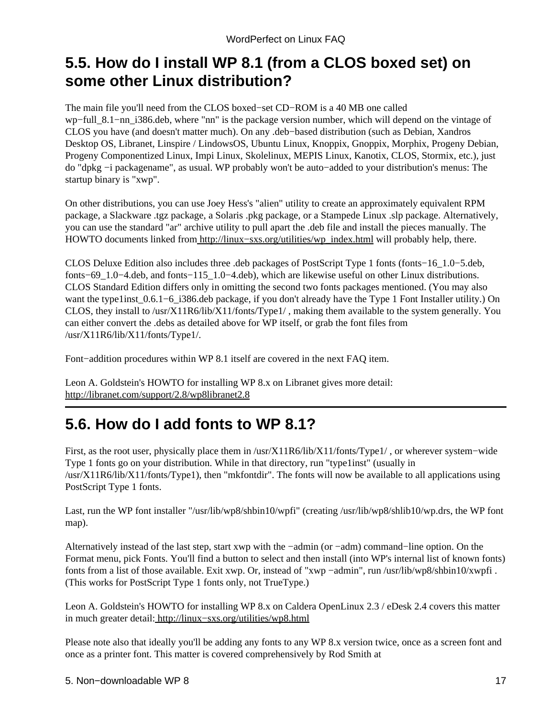### <span id="page-19-0"></span>**5.5. How do I install WP 8.1 (from a CLOS boxed set) on some other Linux distribution?**

The main file you'll need from the CLOS boxed−set CD−ROM is a 40 MB one called wp−full\_8.1−nn\_i386.deb, where "nn" is the package version number, which will depend on the vintage of CLOS you have (and doesn't matter much). On any .deb−based distribution (such as Debian, Xandros Desktop OS, Libranet, Linspire / LindowsOS, Ubuntu Linux, Knoppix, Gnoppix, Morphix, Progeny Debian, Progeny Componentized Linux, Impi Linux, Skolelinux, MEPIS Linux, Kanotix, CLOS, Stormix, etc.), just do "dpkg −i packagename", as usual. WP probably won't be auto−added to your distribution's menus: The startup binary is "xwp".

On other distributions, you can use Joey Hess's "alien" utility to create an approximately equivalent RPM package, a Slackware .tgz package, a Solaris .pkg package, or a Stampede Linux .slp package. Alternatively, you can use the standard "ar" archive utility to pull apart the .deb file and install the pieces manually. The HOWTO documents linked from http://linux–sxs.org/utilities/wp\_index.html will probably help, there.

CLOS Deluxe Edition also includes three .deb packages of PostScript Type 1 fonts (fonts−16\_1.0−5.deb, fonts−69\_1.0−4.deb, and fonts−115\_1.0−4.deb), which are likewise useful on other Linux distributions. CLOS Standard Edition differs only in omitting the second two fonts packages mentioned. (You may also want the type1inst\_0.6.1−6\_i386.deb package, if you don't already have the Type 1 Font Installer utility.) On CLOS, they install to /usr/X11R6/lib/X11/fonts/Type1/ , making them available to the system generally. You can either convert the .debs as detailed above for WP itself, or grab the font files from /usr/X11R6/lib/X11/fonts/Type1/.

Font−addition procedures within WP 8.1 itself are covered in the next FAQ item.

Leon A. Goldstein's HOWTO for installing WP 8.x on Libranet gives more detail: <http://libranet.com/support/2.8/wp8libranet2.8>

### <span id="page-19-1"></span>**5.6. How do I add fonts to WP 8.1?**

First, as the root user, physically place them in /usr/X11R6/lib/X11/fonts/Type1/ , or wherever system−wide Type 1 fonts go on your distribution. While in that directory, run "type1inst" (usually in /usr/X11R6/lib/X11/fonts/Type1), then "mkfontdir". The fonts will now be available to all applications using PostScript Type 1 fonts.

Last, run the WP font installer "/usr/lib/wp8/shbin10/wpfi" (creating /usr/lib/wp8/shlib10/wp.drs, the WP font map).

Alternatively instead of the last step, start xwp with the −admin (or −adm) command−line option. On the Format menu, pick Fonts. You'll find a button to select and then install (into WP's internal list of known fonts) fonts from a list of those available. Exit xwp. Or, instead of "xwp −admin", run /usr/lib/wp8/shbin10/xwpfi . (This works for PostScript Type 1 fonts only, not TrueType.)

Leon A. Goldstein's HOWTO for installing WP 8.x on Caldera OpenLinux 2.3 / eDesk 2.4 covers this matter in much greater detail[: http://linux−sxs.org/utilities/wp8.html](http://linux-sxs.org/utilities/wp8.html)

Please note also that ideally you'll be adding any fonts to any WP 8.x version twice, once as a screen font and once as a printer font. This matter is covered comprehensively by Rod Smith at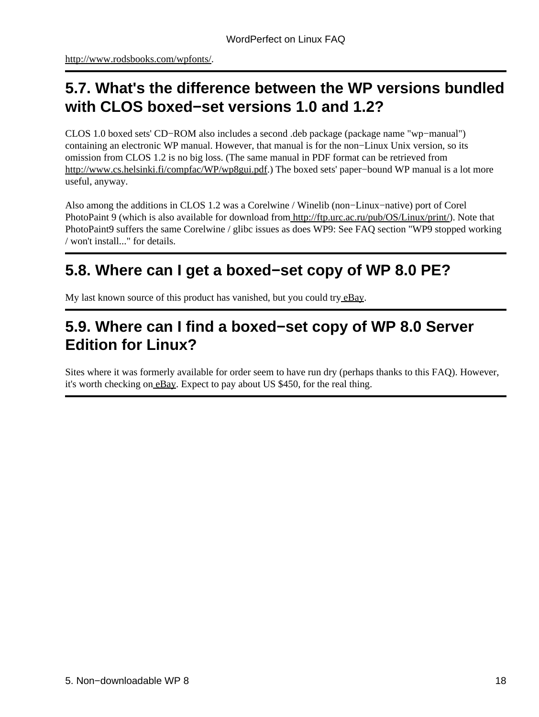<http://www.rodsbooks.com/wpfonts/>.

### <span id="page-20-0"></span>**5.7. What's the difference between the WP versions bundled with CLOS boxed−set versions 1.0 and 1.2?**

CLOS 1.0 boxed sets' CD−ROM also includes a second .deb package (package name "wp−manual") containing an electronic WP manual. However, that manual is for the non−Linux Unix version, so its omission from CLOS 1.2 is no big loss. (The same manual in PDF format can be retrieved from <http://www.cs.helsinki.fi/compfac/WP/wp8gui.pdf>.) The boxed sets' paper−bound WP manual is a lot more useful, anyway.

Also among the additions in CLOS 1.2 was a Corelwine / Winelib (non−Linux−native) port of Corel PhotoPaint 9 (which is also available for download from<http://ftp.urc.ac.ru/pub/OS/Linux/print/>). Note that PhotoPaint9 suffers the same Corelwine / glibc issues as does WP9: See FAQ section "WP9 stopped working / won't install..." for details.

### <span id="page-20-1"></span>**5.8. Where can I get a boxed−set copy of WP 8.0 PE?**

My last known source of this product has vanished, but you could try [eBay.](http://www.ebay.com)

### <span id="page-20-2"></span>**5.9. Where can I find a boxed−set copy of WP 8.0 Server Edition for Linux?**

Sites where it was formerly available for order seem to have run dry (perhaps thanks to this FAQ). However, it's worth checking on **eBay**. Expect to pay about US \$450, for the real thing.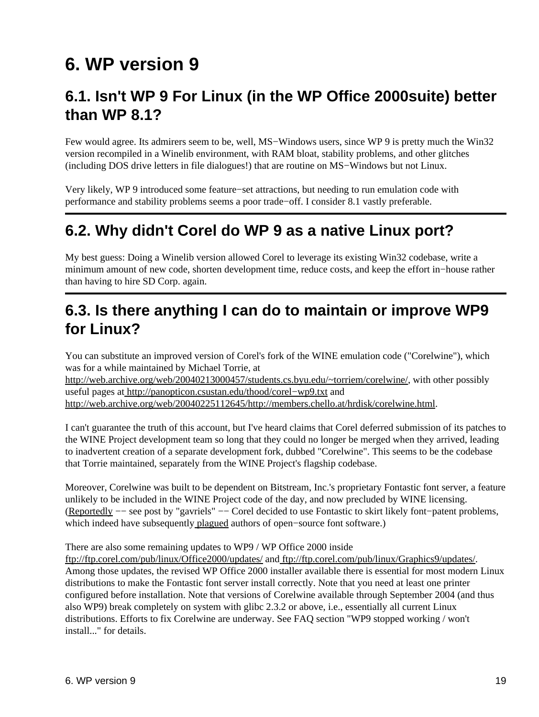## <span id="page-21-0"></span>**6. WP version 9**

### <span id="page-21-1"></span>**6.1. Isn't WP 9 For Linux (in the WP Office 2000suite) better than WP 8.1?**

Few would agree. Its admirers seem to be, well, MS−Windows users, since WP 9 is pretty much the Win32 version recompiled in a Winelib environment, with RAM bloat, stability problems, and other glitches (including DOS drive letters in file dialogues!) that are routine on MS−Windows but not Linux.

Very likely, WP 9 introduced some feature−set attractions, but needing to run emulation code with performance and stability problems seems a poor trade−off. I consider 8.1 vastly preferable.

### <span id="page-21-2"></span>**6.2. Why didn't Corel do WP 9 as a native Linux port?**

My best guess: Doing a Winelib version allowed Corel to leverage its existing Win32 codebase, write a minimum amount of new code, shorten development time, reduce costs, and keep the effort in−house rather than having to hire SD Corp. again.

### <span id="page-21-3"></span>**6.3. Is there anything I can do to maintain or improve WP9 for Linux?**

You can substitute an improved version of Corel's fork of the WINE emulation code ("Corelwine"), which was for a while maintained by Michael Torrie, at

<http://web.archive.org/web/20040213000457/students.cs.byu.edu/~torriem/corelwine/>, with other possibly useful pages a[t http://panopticon.csustan.edu/thood/corel−wp9.txt](http://panopticon.csustan.edu/thood/corel-wp9.txt) and <http://web.archive.org/web/20040225112645/http://members.chello.at/hrdisk/corelwine.html>.

I can't guarantee the truth of this account, but I've heard claims that Corel deferred submission of its patches to the WINE Project development team so long that they could no longer be merged when they arrived, leading to inadvertent creation of a separate development fork, dubbed "Corelwine". This seems to be the codebase that Torrie maintained, separately from the WINE Project's flagship codebase.

Moreover, Corelwine was built to be dependent on Bitstream, Inc.'s proprietary Fontastic font server, a feature unlikely to be included in the WINE Project code of the day, and now precluded by WINE licensing. ([Reportedly](http://slashdot.org/article.pl?sid=04/04/02/011200) −− see post by "gavriels" −− Corel decided to use Fontastic to skirt likely font−patent problems, which indeed have subsequently [plagued](http://linuxmafia.com/faq/Apps/OpenOffice.org/fonts.html) authors of open–source font software.)

There are also some remaining updates to WP9 / WP Office 2000 inside

<ftp://ftp.corel.com/pub/linux/Office2000/updates/> and [ftp://ftp.corel.com/pub/linux/Graphics9/updates/.](ftp://ftp.corel.com/pub/linux/Graphics9/updates/) Among those updates, the revised WP Office 2000 installer available there is essential for most modern Linux distributions to make the Fontastic font server install correctly. Note that you need at least one printer configured before installation. Note that versions of Corelwine available through September 2004 (and thus also WP9) break completely on system with glibc 2.3.2 or above, i.e., essentially all current Linux distributions. Efforts to fix Corelwine are underway. See FAQ section "WP9 stopped working / won't install..." for details.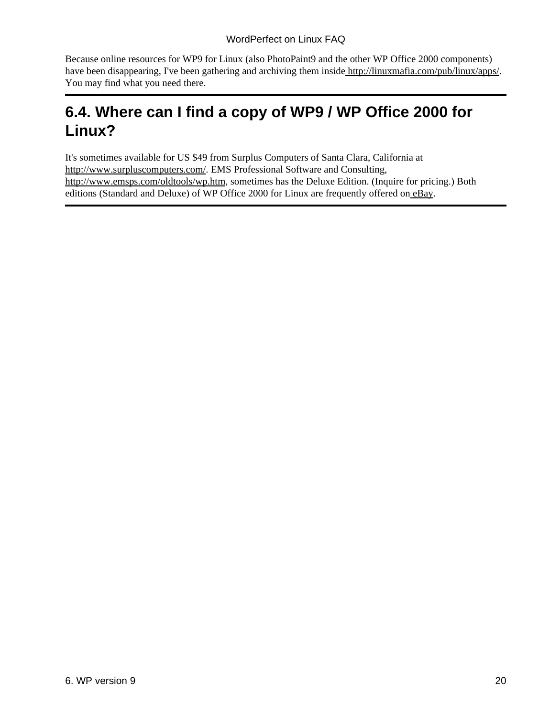Because online resources for WP9 for Linux (also PhotoPaint9 and the other WP Office 2000 components) have been disappearing, I've been gathering and archiving them insid[e http://linuxmafia.com/pub/linux/apps/](http://linuxmafia.com/pub/linux/apps/). You may find what you need there.

### <span id="page-22-0"></span>**6.4. Where can I find a copy of WP9 / WP Office 2000 for Linux?**

It's sometimes available for US \$49 from Surplus Computers of Santa Clara, California at <http://www.surpluscomputers.com/>. EMS Professional Software and Consulting, [http://www.emsps.com/oldtools/wp.htm,](http://www.emsps.com/oldtools/wp.htm) sometimes has the Deluxe Edition. (Inquire for pricing.) Both editions (Standard and Deluxe) of WP Office 2000 for Linux are frequently offered on [eBay](http://www.ebay.com).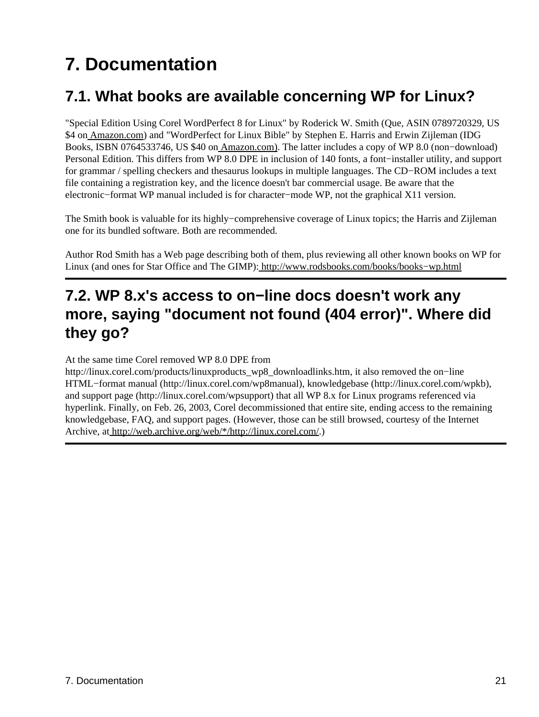# <span id="page-23-0"></span>**7. Documentation**

### <span id="page-23-1"></span>**7.1. What books are available concerning WP for Linux?**

"Special Edition Using Corel WordPerfect 8 for Linux" by Roderick W. Smith (Que, ASIN 0789720329, US \$4 on [Amazon.com](http://www.amazon.com/exec/obidos/ASIN/0789720329/qid%3D1028107345/sr%3D11-1/ref%3Dsr%5F11%5F1/102-5929383-6737760)) and "WordPerfect for Linux Bible" by Stephen E. Harris and Erwin Zijleman (IDG Books, ISBN 0764533746, US \$40 on [Amazon.com\)](http://www.amazon.com/exec/obidos/ASIN/0764533746/qid%3D1028107552/sr%3D11-1/ref%3Dsr%5F11%5F1/102-5929383-6737760). The latter includes a copy of WP 8.0 (non−download) Personal Edition. This differs from WP 8.0 DPE in inclusion of 140 fonts, a font−installer utility, and support for grammar / spelling checkers and thesaurus lookups in multiple languages. The CD−ROM includes a text file containing a registration key, and the licence doesn't bar commercial usage. Be aware that the electronic−format WP manual included is for character−mode WP, not the graphical X11 version.

The Smith book is valuable for its highly−comprehensive coverage of Linux topics; the Harris and Zijleman one for its bundled software. Both are recommended.

Author Rod Smith has a Web page describing both of them, plus reviewing all other known books on WP for Linux (and ones for Star Office and The GIMP): [http://www.rodsbooks.com/books/books−wp.html](http://www.rodsbooks.com/books/books-wp.html)

### <span id="page-23-2"></span>**7.2. WP 8.x's access to on−line docs doesn't work any more, saying "document not found (404 error)". Where did they go?**

At the same time Corel removed WP 8.0 DPE from

http://linux.corel.com/products/linuxproducts\_wp8\_downloadlinks.htm, it also removed the on−line HTML−format manual (http://linux.corel.com/wp8manual), knowledgebase (http://linux.corel.com/wpkb), and support page (http://linux.corel.com/wpsupport) that all WP 8.x for Linux programs referenced via hyperlink. Finally, on Feb. 26, 2003, Corel decommissioned that entire site, ending access to the remaining knowledgebase, FAQ, and support pages. (However, those can be still browsed, courtesy of the Internet Archive, at [http://web.archive.org/web/\\*/http://linux.corel.com/](http://web.archive.org/web/*/http://linux.corel.com/).)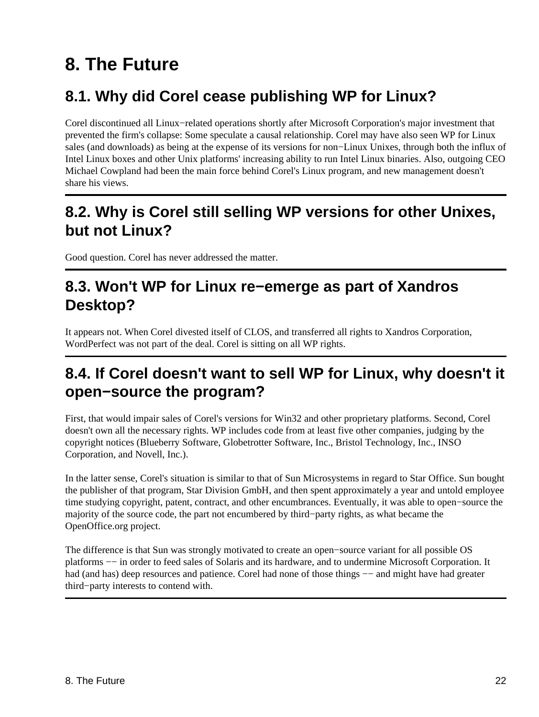# <span id="page-24-0"></span>**8. The Future**

### <span id="page-24-1"></span>**8.1. Why did Corel cease publishing WP for Linux?**

Corel discontinued all Linux−related operations shortly after Microsoft Corporation's major investment that prevented the firm's collapse: Some speculate a causal relationship. Corel may have also seen WP for Linux sales (and downloads) as being at the expense of its versions for non−Linux Unixes, through both the influx of Intel Linux boxes and other Unix platforms' increasing ability to run Intel Linux binaries. Also, outgoing CEO Michael Cowpland had been the main force behind Corel's Linux program, and new management doesn't share his views.

### <span id="page-24-2"></span>**8.2. Why is Corel still selling WP versions for other Unixes, but not Linux?**

Good question. Corel has never addressed the matter.

### <span id="page-24-3"></span>**8.3. Won't WP for Linux re−emerge as part of Xandros Desktop?**

It appears not. When Corel divested itself of CLOS, and transferred all rights to Xandros Corporation, WordPerfect was not part of the deal. Corel is sitting on all WP rights.

### <span id="page-24-4"></span>**8.4. If Corel doesn't want to sell WP for Linux, why doesn't it open−source the program?**

First, that would impair sales of Corel's versions for Win32 and other proprietary platforms. Second, Corel doesn't own all the necessary rights. WP includes code from at least five other companies, judging by the copyright notices (Blueberry Software, Globetrotter Software, Inc., Bristol Technology, Inc., INSO Corporation, and Novell, Inc.).

In the latter sense, Corel's situation is similar to that of Sun Microsystems in regard to Star Office. Sun bought the publisher of that program, Star Division GmbH, and then spent approximately a year and untold employee time studying copyright, patent, contract, and other encumbrances. Eventually, it was able to open−source the majority of the source code, the part not encumbered by third−party rights, as what became the OpenOffice.org project.

The difference is that Sun was strongly motivated to create an open−source variant for all possible OS platforms -- in order to feed sales of Solaris and its hardware, and to undermine Microsoft Corporation. It had (and has) deep resources and patience. Corel had none of those things –– and might have had greater third−party interests to contend with.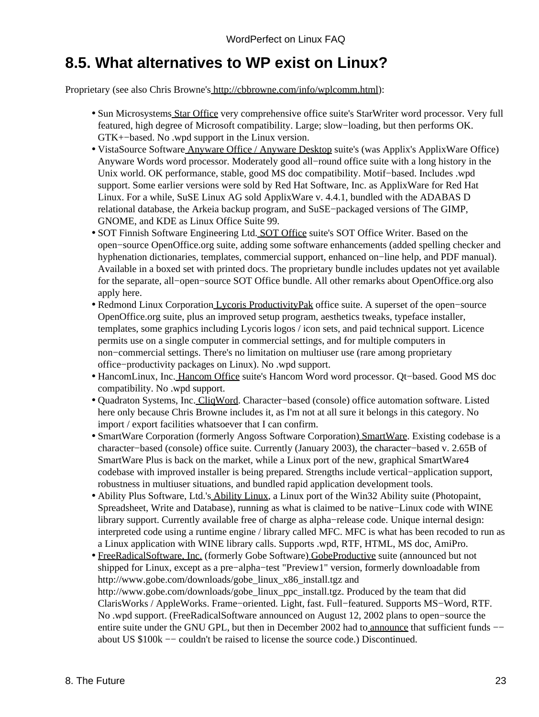### <span id="page-25-0"></span>**8.5. What alternatives to WP exist on Linux?**

Proprietary (see also Chris Browne's [http://cbbrowne.com/info/wplcomm.html\)](http://cbbrowne.com/info/wplcomm.html):

- Sun Microsystems [Star Office](http://www.sun.com/staroffice/) very comprehensive office suite's StarWriter word processor. Very full featured, high degree of Microsoft compatibility. Large; slow−loading, but then performs OK. GTK+−based. No .wpd support in the Linux version.
- VistaSource Software *Anyware Office / Anyware Desktop* suite's (was Applix's ApplixWare Office) Anyware Words word processor. Moderately good all−round office suite with a long history in the Unix world. OK performance, stable, good MS doc compatibility. Motif−based. Includes .wpd support. Some earlier versions were sold by Red Hat Software, Inc. as ApplixWare for Red Hat Linux. For a while, SuSE Linux AG sold ApplixWare v. 4.4.1, bundled with the ADABAS D relational database, the Arkeia backup program, and SuSE−packaged versions of The GIMP, GNOME, and KDE as Linux Office Suite 99.
- SOT Finnish Software Engineering Ltd. **SOT Office** suite's SOT Office Writer. Based on the open−source OpenOffice.org suite, adding some software enhancements (added spelling checker and hyphenation dictionaries, templates, commercial support, enhanced on−line help, and PDF manual). Available in a boxed set with printed docs. The proprietary bundle includes updates not yet available for the separate, all−open−source SOT Office bundle. All other remarks about OpenOffice.org also apply here.
- Redmond Linux Corporation [Lycoris ProductivityPak](http://www.lycoris.com/products/ppak/) office suite. A superset of the open–source OpenOffice.org suite, plus an improved setup program, aesthetics tweaks, typeface installer, templates, some graphics including Lycoris logos / icon sets, and paid technical support. Licence permits use on a single computer in commercial settings, and for multiple computers in non−commercial settings. There's no limitation on multiuser use (rare among proprietary office−productivity packages on Linux). No .wpd support.
- HancomLinux, Inc. [Hancom Office](http://en.hancom.com/) suite's Hancom Word word processor. Qt-based. Good MS doc compatibility. No .wpd support.
- Quadraton Systems, Inc[. CliqWord.](http://www.dr-quad.com/cliqword.htm) Character-based (console) office automation software. Listed here only because Chris Browne includes it, as I'm not at all sure it belongs in this category. No import / export facilities whatsoever that I can confirm.
- SmartWare Corporation (formerly Angoss Software Corporation) [SmartWare.](http://www.smartware4.com/) Existing codebase is a character−based (console) office suite. Currently (January 2003), the character−based v. 2.65B of SmartWare Plus is back on the market, while a Linux port of the new, graphical SmartWare4 codebase with improved installer is being prepared. Strengths include vertical−application support, robustness in multiuser situations, and bundled rapid application development tools.
- Ability Plus Software, Ltd.'s **Ability Linux**, a Linux port of the Win32 Ability suite (Photopaint, Spreadsheet, Write and Database), running as what is claimed to be native−Linux code with WINE library support. Currently available free of charge as alpha−release code. Unique internal design: interpreted code using a runtime engine / library called MFC. MFC is what has been recoded to run as a Linux application with WINE library calls. Supports .wpd, RTF, HTML, MS doc, AmiPro.
- [FreeRadicalSoftware, Inc.](http://www.freeradicalsoftware.com/) (formerly Gobe Software) [GobeProductive](http://www.gobe.com/) suite (announced but not shipped for Linux, except as a pre−alpha−test "Preview1" version, formerly downloadable from http://www.gobe.com/downloads/gobe\_linux\_x86\_install.tgz and http://www.gobe.com/downloads/gobe\_linux\_ppc\_install.tgz. Produced by the team that did ClarisWorks / AppleWorks. Frame−oriented. Light, fast. Full−featured. Supports MS−Word, RTF. No .wpd support. (FreeRadicalSoftware announced on August 12, 2002 plans to open−source the entire suite under the GNU GPL, but then in December 2002 had to [announce](http://www.osnews.com/story.php?news_id=2308) that sufficient funds –− about US \$100k −− couldn't be raised to license the source code.) Discontinued.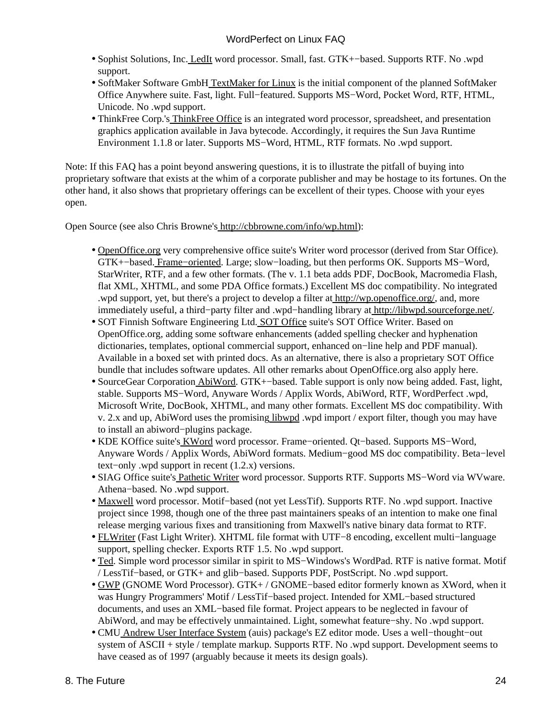- Sophist Solutions, Inc. [LedIt](http://www.sophists.com/Led/LedIt/) word processor. Small, fast. GTK+-based. Supports RTF. No .wpd support.
- SoftMaker Software Gmb[H TextMaker for Linux](http://www.softmaker.de/tml_en.htm) is the initial component of the planned SoftMaker Office Anywhere suite. Fast, light. Full−featured. Supports MS−Word, Pocket Word, RTF, HTML, Unicode. No .wpd support.
- ThinkFree Corp.'s [ThinkFree Office](http://www.thinkfree.com/) is an integrated word processor, spreadsheet, and presentation graphics application available in Java bytecode. Accordingly, it requires the Sun Java Runtime Environment 1.1.8 or later. Supports MS−Word, HTML, RTF formats. No .wpd support.

Note: If this FAQ has a point beyond answering questions, it is to illustrate the pitfall of buying into proprietary software that exists at the whim of a corporate publisher and may be hostage to its fortunes. On the other hand, it also shows that proprietary offerings can be excellent of their types. Choose with your eyes open.

Open Source (see also Chris Browne'[s http://cbbrowne.com/info/wp.html\)](http://cbbrowne.com/info/wp.html):

- · [OpenOffice.org](http://www.openoffice.org/) very comprehensive office suite's Writer word processor (derived from Star Office). GTK+−based. [Frame−oriented.](http://www.linuxjournal.com/article.php?sid=7120) Large; slow−loading, but then performs OK. Supports MS−Word, StarWriter, RTF, and a few other formats. (The v. 1.1 beta adds PDF, DocBook, Macromedia Flash, flat XML, XHTML, and some PDA Office formats.) Excellent MS doc compatibility. No integrated .wpd support, yet, but there's a project to develop a filter a[t http://wp.openoffice.org/,](http://wp.openoffice.org/) and, more immediately useful, a third−party filter and .wpd−handling library a[t http://libwpd.sourceforge.net/.](http://libwpd.sourceforge.net/)
- SOT Finnish Software Engineering Ltd[. SOT Office](http://www.sot.com/en/linux/soto/) suite's SOT Office Writer. Based on OpenOffice.org, adding some software enhancements (added spelling checker and hyphenation dictionaries, templates, optional commercial support, enhanced on−line help and PDF manual). Available in a boxed set with printed docs. As an alternative, there is also a proprietary SOT Office bundle that includes software updates. All other remarks about OpenOffice.org also apply here.
- SourceGear Corporation [AbiWord](http://www.abisource.com/). GTK+-based. Table support is only now being added. Fast, light, stable. Supports MS−Word, Anyware Words / Applix Words, AbiWord, RTF, WordPerfect .wpd, Microsoft Write, DocBook, XHTML, and many other formats. Excellent MS doc compatibility. With v. 2.x and up, AbiWord uses the promisin[g libwpd](http://libwpd.sourceforge.net/) .wpd import / export filter, though you may have to install an abiword−plugins package.
- KDE KOffice suite'[s KWord](http://koffice.kde.org/kword/) word processor. Frame–oriented. Qt-based. Supports MS-Word, Anyware Words / Applix Words, AbiWord formats. Medium−good MS doc compatibility. Beta−level text−only .wpd support in recent (1.2.x) versions.
- SIAG Office suite'[s Pathetic Writer](http://siag.nu/pw/) word processor. Supports RTF. Supports MS-Word via WVware. Athena−based. No .wpd support.
- [Maxwell](http://sourceforge.net/projects/maxwellwp) word processor. Motif-based (not yet LessTif). Supports RTF. No .wpd support. Inactive project since 1998, though one of the three past maintainers speaks of an intention to make one final release merging various fixes and transitioning from Maxwell's native binary data format to RTF.
- [FLWriter](http://www.oksid.ch/flwriter/) (Fast Light Writer). XHTML file format with UTF-8 encoding, excellent multi-language support, spelling checker. Exports RTF 1.5. No .wpd support.
- [Ted](http://www.nllgg.nl/Ted/). Simple word processor similar in spirit to MS–Windows's WordPad. RTF is native format. Motif / LessTif−based, or GTK+ and glib−based. Supports PDF, PostScript. No .wpd support.
- [GWP](http://www.hungry.com/products/gwp/) (GNOME Word Processor). GTK+ / GNOME-based editor formerly known as XWord, when it was Hungry Programmers' Motif / LessTif−based project. Intended for XML−based structured documents, and uses an XML−based file format. Project appears to be neglected in favour of AbiWord, and may be effectively unmaintained. Light, somewhat feature−shy. No .wpd support.
- CM[U Andrew User Interface System](http://www.hps.com/~tpg/toolbox/auis.php) (auis) package's EZ editor mode. Uses a well-thought-out system of ASCII + style / template markup. Supports RTF. No .wpd support. Development seems to have ceased as of 1997 (arguably because it meets its design goals).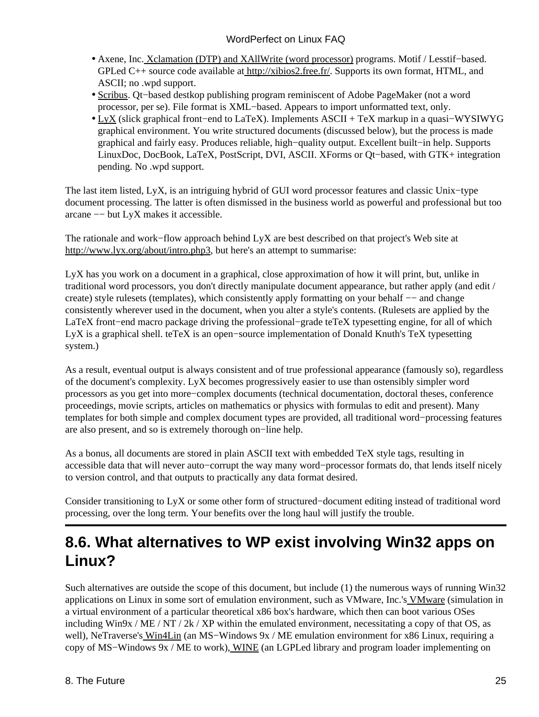- Axene, Inc[. Xclamation \(DTP\) and XAllWrite \(word processor\)](http://xibios.free.fr/english/) programs. Motif / Lesstif-based. GPLed C++ source code available at<http://xibios2.free.fr/>. Supports its own format, HTML, and ASCII; no .wpd support.
- [Scribus](http://web2.altmuehlnet.de/fschmid/). Qt-based destkop publishing program reminiscent of Adobe PageMaker (not a word processor, per se). File format is XML−based. Appears to import unformatted text, only.
- [LyX](http://www.lyx.org/) (slick graphical front–end to LaTeX). Implements ASCII + TeX markup in a quasi–WYSIWYG graphical environment. You write structured documents (discussed below), but the process is made graphical and fairly easy. Produces reliable, high−quality output. Excellent built−in help. Supports LinuxDoc, DocBook, LaTeX, PostScript, DVI, ASCII. XForms or Qt−based, with GTK+ integration pending. No .wpd support.

The last item listed, LyX, is an intriguing hybrid of GUI word processor features and classic Unix−type document processing. The latter is often dismissed in the business world as powerful and professional but too arcane −− but LyX makes it accessible.

The rationale and work−flow approach behind LyX are best described on that project's Web site at <http://www.lyx.org/about/intro.php3>, but here's an attempt to summarise:

LyX has you work on a document in a graphical, close approximation of how it will print, but, unlike in traditional word processors, you don't directly manipulate document appearance, but rather apply (and edit / create) style rulesets (templates), which consistently apply formatting on your behalf –– and change consistently wherever used in the document, when you alter a style's contents. (Rulesets are applied by the LaTeX front−end macro package driving the professional−grade teTeX typesetting engine, for all of which LyX is a graphical shell. teTeX is an open−source implementation of Donald Knuth's TeX typesetting system.)

As a result, eventual output is always consistent and of true professional appearance (famously so), regardless of the document's complexity. LyX becomes progressively easier to use than ostensibly simpler word processors as you get into more−complex documents (technical documentation, doctoral theses, conference proceedings, movie scripts, articles on mathematics or physics with formulas to edit and present). Many templates for both simple and complex document types are provided, all traditional word−processing features are also present, and so is extremely thorough on−line help.

As a bonus, all documents are stored in plain ASCII text with embedded TeX style tags, resulting in accessible data that will never auto−corrupt the way many word−processor formats do, that lends itself nicely to version control, and that outputs to practically any data format desired.

Consider transitioning to LyX or some other form of structured−document editing instead of traditional word processing, over the long term. Your benefits over the long haul will justify the trouble.

### <span id="page-27-0"></span>**8.6. What alternatives to WP exist involving Win32 apps on Linux?**

Such alternatives are outside the scope of this document, but include (1) the numerous ways of running Win32 applications on Linux in some sort of emulation environment, such as VMware, Inc.'s [VMware](http://www.vmware.com/) (simulation in a virtual environment of a particular theoretical x86 box's hardware, which then can boot various OSes including Win9x / ME / NT / 2k / XP within the emulated environment, necessitating a copy of that OS, as well), NeTraverse's [Win4Lin](http://www.netraverse.com/) (an MS−Windows 9x / ME emulation environment for x86 Linux, requiring a copy of MS−Windows 9x / ME to work)[, WINE](http://www.winehq.com/) (an LGPLed library and program loader implementing on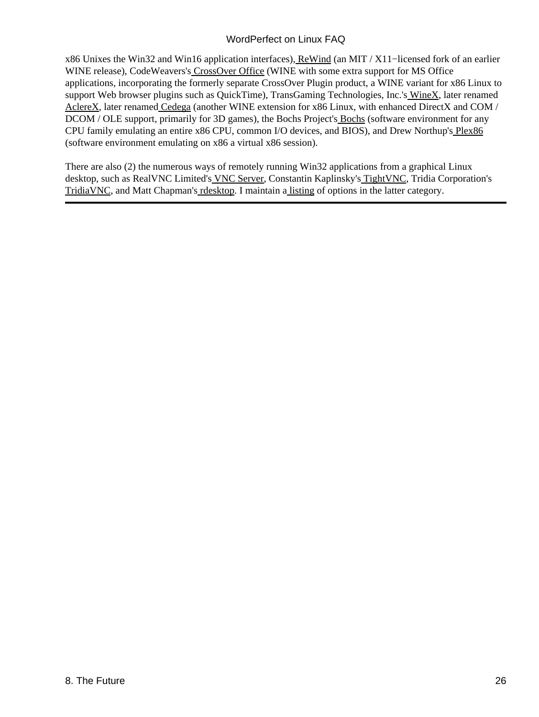x86 Unixes the Win32 and Win16 application interfaces)[, ReWind](http://rewind.sourceforge.net/) (an MIT / X11−licensed fork of an earlier WINE release), CodeWeavers'[s CrossOver Office](http://www.codeweavers.com/site/products/) (WINE with some extra support for MS Office applications, incorporating the formerly separate CrossOver Plugin product, a WINE variant for x86 Linux to support Web browser plugins such as QuickTime), TransGaming Technologies, Inc.'s [WineX](http://www.transgaming.com/), later renamed [AclereX](http://www.aclerex.com/), later renamed [Cedega](http://www.transgaming.com/news.php?newsid=119) (another WINE extension for x86 Linux, with enhanced DirectX and COM / DCOM / OLE support, primarily for 3D games), the [Bochs](http://bochs.sourceforge.net/) Project's **Bochs** (software environment for any CPU family emulating an entire x86 CPU, common I/O devices, and BIOS), and Drew Northup'[s Plex86](http://savannah.nongnu.org/projects/plex86/) (software environment emulating on x86 a virtual x86 session).

There are also (2) the numerous ways of remotely running Win32 applications from a graphical Linux desktop, such as RealVNC Limited's [VNC Server](http://www.realvnc.com/), Constantin Kaplinsky's [TightVNC](http://www.tightvnc.com/), Tridia Corporation's [TridiaVNC](http://www.tridiavnc.com/), and Matt Chapman'[s rdesktop.](http://www.rdesktop.org/) I maintain a [listing](http://linuxmafia.com/faq/Legacy_Microsoft/vnc-and-similar.html) of options in the latter category.